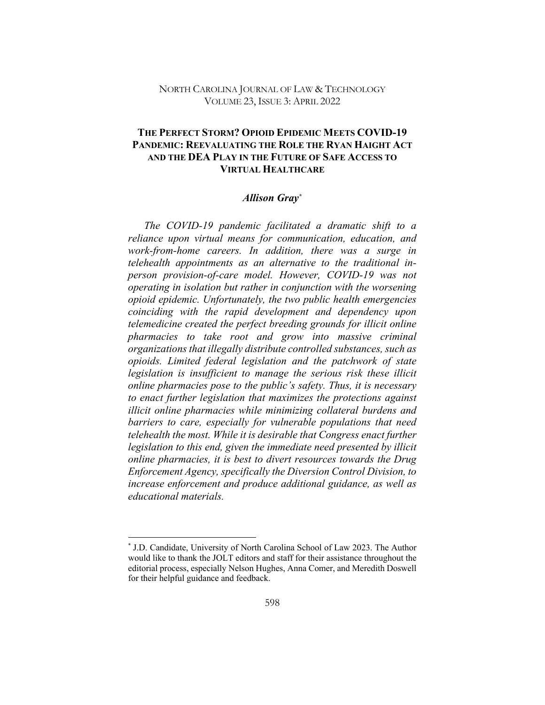### NORTH CAROLINA JOURNAL OF LAW & TECHNOLOGY VOLUME 23, ISSUE 3: APRIL 2022

# **THE PERFECT STORM? OPIOID EPIDEMIC MEETS COVID-19 PANDEMIC: REEVALUATING THE ROLE THE RYAN HAIGHT ACT AND THE DEA PLAY IN THE FUTURE OF SAFE ACCESS TO VIRTUAL HEALTHCARE**

#### *Allison Gray\**

*The COVID-19 pandemic facilitated a dramatic shift to a reliance upon virtual means for communication, education, and work-from-home careers. In addition, there was a surge in telehealth appointments as an alternative to the traditional inperson provision-of-care model. However, COVID-19 was not operating in isolation but rather in conjunction with the worsening opioid epidemic. Unfortunately, the two public health emergencies coinciding with the rapid development and dependency upon telemedicine created the perfect breeding grounds for illicit online pharmacies to take root and grow into massive criminal organizations that illegally distribute controlled substances, such as opioids. Limited federal legislation and the patchwork of state legislation is insufficient to manage the serious risk these illicit online pharmacies pose to the public's safety. Thus, it is necessary to enact further legislation that maximizes the protections against illicit online pharmacies while minimizing collateral burdens and barriers to care, especially for vulnerable populations that need telehealth the most. While it is desirable that Congress enact further legislation to this end, given the immediate need presented by illicit online pharmacies, it is best to divert resources towards the Drug Enforcement Agency, specifically the Diversion Control Division, to increase enforcement and produce additional guidance, as well as educational materials.*

<sup>\*</sup> J.D. Candidate, University of North Carolina School of Law 2023. The Author would like to thank the JOLT editors and staff for their assistance throughout the editorial process, especially Nelson Hughes, Anna Comer, and Meredith Doswell for their helpful guidance and feedback.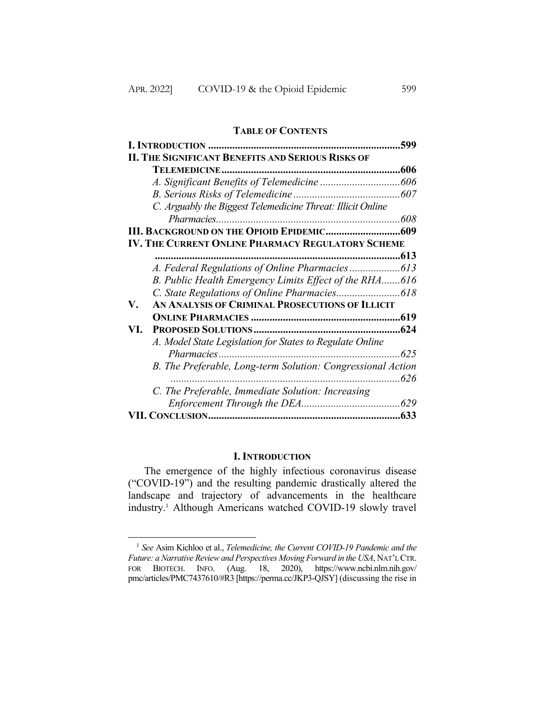#### **TABLE OF CONTENTS**

|                                                             | 599  |
|-------------------------------------------------------------|------|
| <b>II. THE SIGNIFICANT BENEFITS AND SERIOUS RISKS OF</b>    |      |
|                                                             | .606 |
|                                                             |      |
|                                                             |      |
| C. Arguably the Biggest Telemedicine Threat: Illicit Online |      |
|                                                             |      |
|                                                             |      |
| <b>IV. THE CURRENT ONLINE PHARMACY REGULATORY SCHEME</b>    |      |
|                                                             | .613 |
|                                                             |      |
| B. Public Health Emergency Limits Effect of the RHA616      |      |
|                                                             |      |
| AN ANALYSIS OF CRIMINAL PROSECUTIONS OF ILLICIT<br>V.       |      |
|                                                             |      |
| VI.                                                         |      |
| A. Model State Legislation for States to Regulate Online    |      |
| Pharmacies                                                  | 625  |
| B. The Preferable, Long-term Solution: Congressional Action |      |
|                                                             | 626  |
| C. The Preferable, Immediate Solution: Increasing           |      |
|                                                             |      |
|                                                             | .633 |

### **I. INTRODUCTION**

The emergence of the highly infectious coronavirus disease ("COVID-19") and the resulting pandemic drastically altered the landscape and trajectory of advancements in the healthcare industry.1 Although Americans watched COVID-19 slowly travel

<sup>1</sup> *See* Asim Kichloo et al., *Telemedicine, the Current COVID-19 Pandemic and the Future: a Narrative Review and Perspectives Moving Forward in the USA*, NAT'L CTR. FOR BIOTECH. INFO. (Aug. 18, 2020), https://www.ncbi.nlm.nih.gov/ pmc/articles/PMC7437610/#R3 [https://perma.cc/JKP3-QJSY] (discussing the rise in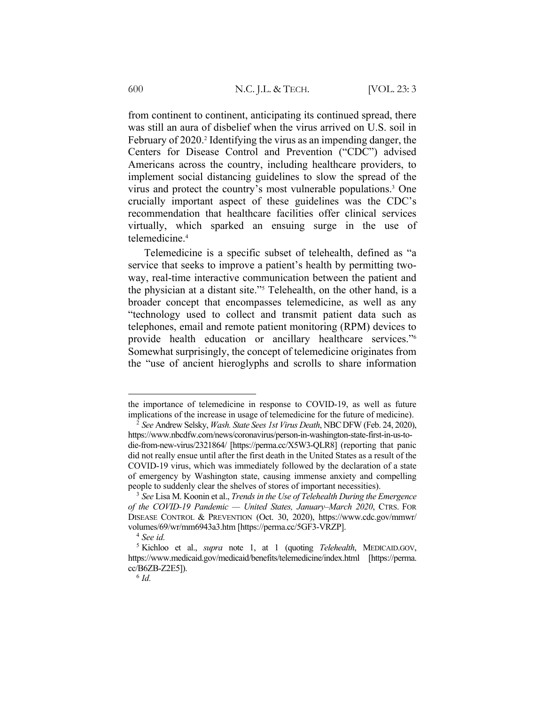from continent to continent, anticipating its continued spread, there was still an aura of disbelief when the virus arrived on U.S. soil in February of 2020.2 Identifying the virus as an impending danger, the Centers for Disease Control and Prevention ("CDC") advised Americans across the country, including healthcare providers, to implement social distancing guidelines to slow the spread of the virus and protect the country's most vulnerable populations.3 One crucially important aspect of these guidelines was the CDC's recommendation that healthcare facilities offer clinical services virtually, which sparked an ensuing surge in the use of telemedicine.4

Telemedicine is a specific subset of telehealth, defined as "a service that seeks to improve a patient's health by permitting twoway, real-time interactive communication between the patient and the physician at a distant site."5 Telehealth, on the other hand, is a broader concept that encompasses telemedicine, as well as any "technology used to collect and transmit patient data such as telephones, email and remote patient monitoring (RPM) devices to provide health education or ancillary healthcare services."6 Somewhat surprisingly, the concept of telemedicine originates from the "use of ancient hieroglyphs and scrolls to share information

the importance of telemedicine in response to COVID-19, as well as future implications of the increase in usage of telemedicine for the future of medicine).

<sup>2</sup> *See* Andrew Selsky, *Wash. State Sees 1st Virus Death*, NBCDFW (Feb. 24, 2020), https://www.nbcdfw.com/news/coronavirus/person-in-washington-state-first-in-us-todie-from-new-virus/2321864/ [https://perma.cc/X5W3-QLR8] (reporting that panic did not really ensue until after the first death in the United States as a result of the COVID-19 virus, which was immediately followed by the declaration of a state of emergency by Washington state, causing immense anxiety and compelling people to suddenly clear the shelves of stores of important necessities).

<sup>3</sup> *See* Lisa M. Koonin et al., *Trends in the Use of Telehealth During the Emergence of the COVID-19 Pandemic — United States, January–March 2020*, CTRS. FOR DISEASE CONTROL & PREVENTION (Oct. 30, 2020), https://www.cdc.gov/mmwr/ volumes/69/wr/mm6943a3.htm [https://perma.cc/5GF3-VRZP].

<sup>4</sup> *See id.*

<sup>5</sup> Kichloo et al., *supra* note 1, at 1 (quoting *Telehealth*, MEDICAID.GOV, https://www.medicaid.gov/medicaid/benefits/telemedicine/index.html [https://perma. cc/B6ZB-Z2E5]).

<sup>6</sup> *Id.*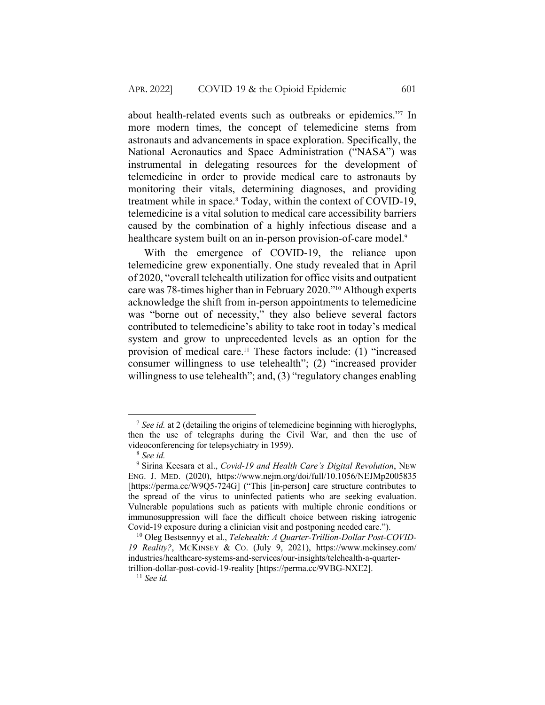about health-related events such as outbreaks or epidemics."7 In more modern times, the concept of telemedicine stems from astronauts and advancements in space exploration. Specifically, the National Aeronautics and Space Administration ("NASA") was instrumental in delegating resources for the development of telemedicine in order to provide medical care to astronauts by monitoring their vitals, determining diagnoses, and providing treatment while in space.8 Today, within the context of COVID-19, telemedicine is a vital solution to medical care accessibility barriers caused by the combination of a highly infectious disease and a healthcare system built on an in-person provision-of-care model.<sup>9</sup>

With the emergence of COVID-19, the reliance upon telemedicine grew exponentially. One study revealed that in April of 2020, "overall telehealth utilization for office visits and outpatient care was 78-times higher than in February 2020."10 Although experts acknowledge the shift from in-person appointments to telemedicine was "borne out of necessity," they also believe several factors contributed to telemedicine's ability to take root in today's medical system and grow to unprecedented levels as an option for the provision of medical care.11 These factors include: (1) "increased consumer willingness to use telehealth"; (2) "increased provider willingness to use telehealth"; and, (3) "regulatory changes enabling

<sup>7</sup> *See id.* at 2 (detailing the origins of telemedicine beginning with hieroglyphs, then the use of telegraphs during the Civil War, and then the use of videoconferencing for telepsychiatry in 1959).

<sup>8</sup> *See id.*

<sup>9</sup> Sirina Keesara et al., *Covid-19 and Health Care's Digital Revolution*, NEW ENG. J. MED. (2020), https://www.nejm.org/doi/full/10.1056/NEJMp2005835 [https://perma.cc/W9Q5-724G] ("This [in-person] care structure contributes to the spread of the virus to uninfected patients who are seeking evaluation. Vulnerable populations such as patients with multiple chronic conditions or immunosuppression will face the difficult choice between risking iatrogenic Covid-19 exposure during a clinician visit and postponing needed care.").

<sup>10</sup> Oleg Bestsennyy et al., *Telehealth: A Quarter-Trillion-Dollar Post-COVID-19 Reality?*, MCKINSEY & CO. (July 9, 2021), https://www.mckinsey.com/ industries/healthcare-systems-and-services/our-insights/telehealth-a-quartertrillion-dollar-post-covid-19-reality [https://perma.cc/9VBG-NXE2].

<sup>11</sup> *See id.*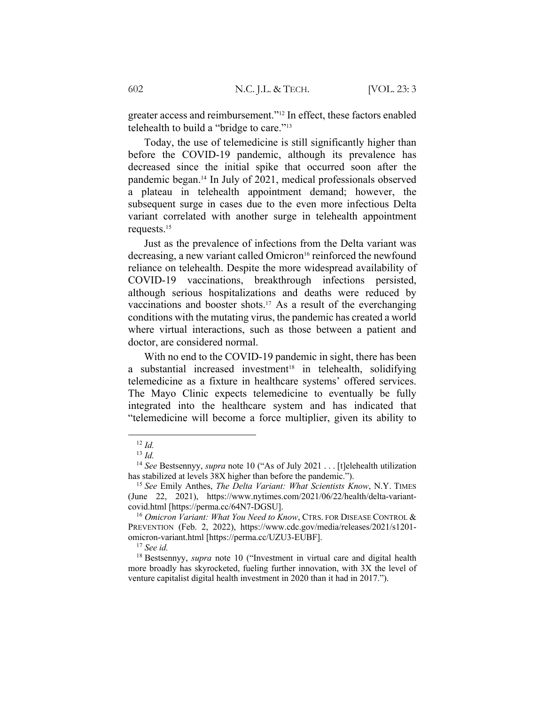greater access and reimbursement."12 In effect, these factors enabled telehealth to build a "bridge to care."<sup>13</sup>

Today, the use of telemedicine is still significantly higher than before the COVID-19 pandemic, although its prevalence has decreased since the initial spike that occurred soon after the pandemic began.14 In July of 2021, medical professionals observed a plateau in telehealth appointment demand; however, the subsequent surge in cases due to the even more infectious Delta variant correlated with another surge in telehealth appointment requests.15

Just as the prevalence of infections from the Delta variant was decreasing, a new variant called Omicron<sup>16</sup> reinforced the newfound reliance on telehealth. Despite the more widespread availability of COVID-19 vaccinations, breakthrough infections persisted, although serious hospitalizations and deaths were reduced by vaccinations and booster shots.<sup>17</sup> As a result of the everchanging conditions with the mutating virus, the pandemic has created a world where virtual interactions, such as those between a patient and doctor, are considered normal.

With no end to the COVID-19 pandemic in sight, there has been a substantial increased investment<sup>18</sup> in telehealth, solidifying telemedicine as a fixture in healthcare systems' offered services. The Mayo Clinic expects telemedicine to eventually be fully integrated into the healthcare system and has indicated that "telemedicine will become a force multiplier, given its ability to

 $12 \, Id.$ 

<sup>13</sup> *Id.*

<sup>14</sup> *See* Bestsennyy, *supra* note 10 ("As of July 2021 . . . [t]elehealth utilization has stabilized at levels 38X higher than before the pandemic.").

<sup>15</sup> *See* Emily Anthes, *The Delta Variant: What Scientists Know*, N.Y. TIMES (June 22, 2021), https://www.nytimes.com/2021/06/22/health/delta-variantcovid.html [https://perma.cc/64N7-DGSU].

<sup>16</sup> *Omicron Variant: What You Need to Know*, CTRS. FOR DISEASE CONTROL & PREVENTION (Feb. 2, 2022), https://www.cdc.gov/media/releases/2021/s1201 omicron-variant.html [https://perma.cc/UZU3-EUBF].

<sup>17</sup> *See id.*

<sup>18</sup> Bestsennyy, *supra* note 10 ("Investment in virtual care and digital health more broadly has skyrocketed, fueling further innovation, with 3X the level of venture capitalist digital health investment in 2020 than it had in 2017.").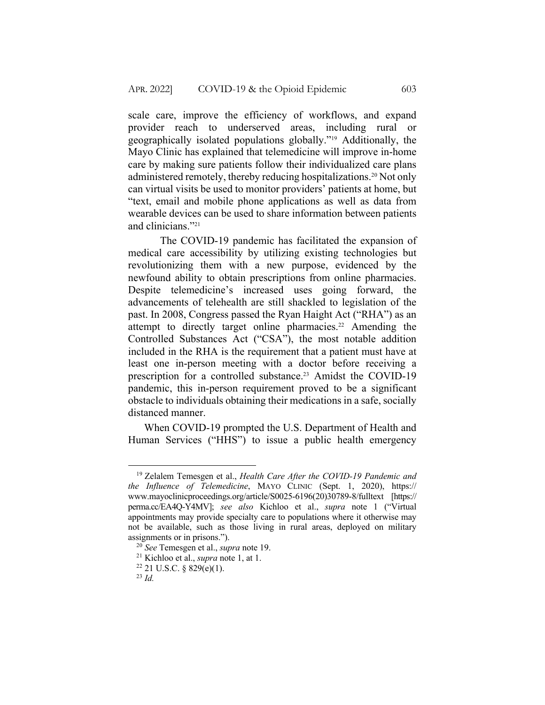scale care, improve the efficiency of workflows, and expand provider reach to underserved areas, including rural or geographically isolated populations globally."19 Additionally, the Mayo Clinic has explained that telemedicine will improve in-home care by making sure patients follow their individualized care plans administered remotely, thereby reducing hospitalizations.<sup>20</sup> Not only can virtual visits be used to monitor providers' patients at home, but "text, email and mobile phone applications as well as data from wearable devices can be used to share information between patients and clinicians."21

The COVID-19 pandemic has facilitated the expansion of medical care accessibility by utilizing existing technologies but revolutionizing them with a new purpose, evidenced by the newfound ability to obtain prescriptions from online pharmacies. Despite telemedicine's increased uses going forward, the advancements of telehealth are still shackled to legislation of the past. In 2008, Congress passed the Ryan Haight Act ("RHA") as an attempt to directly target online pharmacies.<sup>22</sup> Amending the Controlled Substances Act ("CSA"), the most notable addition included in the RHA is the requirement that a patient must have at least one in-person meeting with a doctor before receiving a prescription for a controlled substance.<sup>23</sup> Amidst the COVID-19 pandemic, this in-person requirement proved to be a significant obstacle to individuals obtaining their medications in a safe, socially distanced manner.

When COVID-19 prompted the U.S. Department of Health and Human Services ("HHS") to issue a public health emergency

<sup>19</sup> Zelalem Temesgen et al., *Health Care After the COVID-19 Pandemic and the Influence of Telemedicine*, MAYO CLINIC (Sept. 1, 2020), https:// www.mayoclinicproceedings.org/article/S0025-6196(20)30789-8/fulltext [https:// perma.cc/EA4Q-Y4MV]; *see also* Kichloo et al., *supra* note 1 ("Virtual appointments may provide specialty care to populations where it otherwise may not be available, such as those living in rural areas, deployed on military assignments or in prisons.").

<sup>20</sup> *See* Temesgen et al., *supra* note 19.

<sup>21</sup> Kichloo et al., *supra* note 1, at 1.

 $22$  21 U.S.C. § 829(e)(1).

<sup>23</sup> *Id.*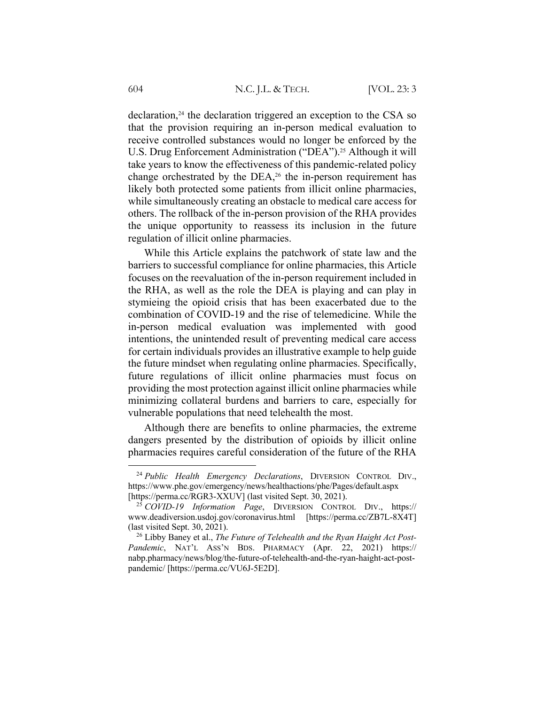$declaration<sup>24</sup>$ , the declaration triggered an exception to the CSA so that the provision requiring an in-person medical evaluation to receive controlled substances would no longer be enforced by the U.S. Drug Enforcement Administration ("DEA").<sup>25</sup> Although it will take years to know the effectiveness of this pandemic-related policy change orchestrated by the DEA, $26$  the in-person requirement has likely both protected some patients from illicit online pharmacies, while simultaneously creating an obstacle to medical care access for others. The rollback of the in-person provision of the RHA provides the unique opportunity to reassess its inclusion in the future regulation of illicit online pharmacies.

While this Article explains the patchwork of state law and the barriers to successful compliance for online pharmacies, this Article focuses on the reevaluation of the in-person requirement included in the RHA, as well as the role the DEA is playing and can play in stymieing the opioid crisis that has been exacerbated due to the combination of COVID-19 and the rise of telemedicine. While the in-person medical evaluation was implemented with good intentions, the unintended result of preventing medical care access for certain individuals provides an illustrative example to help guide the future mindset when regulating online pharmacies. Specifically, future regulations of illicit online pharmacies must focus on providing the most protection against illicit online pharmacies while minimizing collateral burdens and barriers to care, especially for vulnerable populations that need telehealth the most.

Although there are benefits to online pharmacies, the extreme dangers presented by the distribution of opioids by illicit online pharmacies requires careful consideration of the future of the RHA

<sup>24</sup> *Public Health Emergency Declarations*, DIVERSION CONTROL DIV., https://www.phe.gov/emergency/news/healthactions/phe/Pages/default.aspx [https://perma.cc/RGR3-XXUV] (last visited Sept. 30, 2021).

<sup>25</sup> *COVID-19 Information Page*, DIVERSION CONTROL DIV., https:// www.deadiversion.usdoj.gov/coronavirus.html [https://perma.cc/ZB7L-8X4T] (last visited Sept. 30, 2021).

<sup>26</sup> Libby Baney et al., *The Future of Telehealth and the Ryan Haight Act Post-Pandemic*, NAT'L ASS'N BDS. PHARMACY (Apr. 22, 2021) https:// nabp.pharmacy/news/blog/the-future-of-telehealth-and-the-ryan-haight-act-postpandemic/ [https://perma.cc/VU6J-5E2D].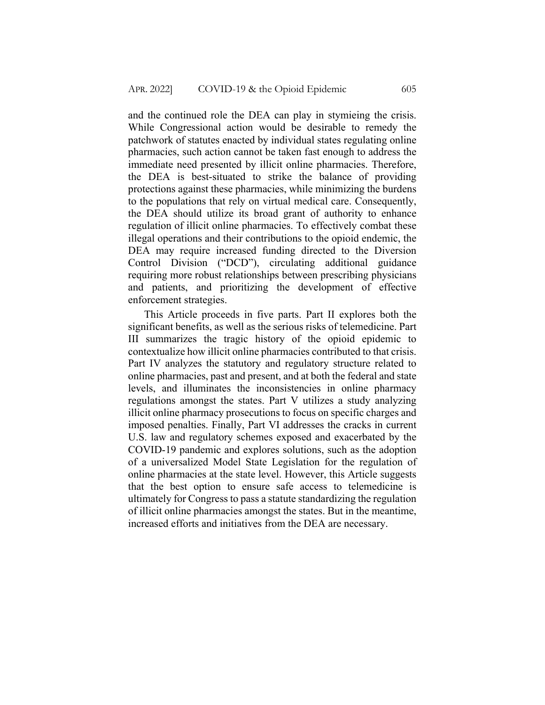and the continued role the DEA can play in stymieing the crisis. While Congressional action would be desirable to remedy the patchwork of statutes enacted by individual states regulating online pharmacies, such action cannot be taken fast enough to address the immediate need presented by illicit online pharmacies. Therefore, the DEA is best-situated to strike the balance of providing protections against these pharmacies, while minimizing the burdens to the populations that rely on virtual medical care. Consequently, the DEA should utilize its broad grant of authority to enhance regulation of illicit online pharmacies. To effectively combat these illegal operations and their contributions to the opioid endemic, the DEA may require increased funding directed to the Diversion Control Division ("DCD"), circulating additional guidance requiring more robust relationships between prescribing physicians and patients, and prioritizing the development of effective enforcement strategies.

This Article proceeds in five parts. Part II explores both the significant benefits, as well as the serious risks of telemedicine. Part III summarizes the tragic history of the opioid epidemic to contextualize how illicit online pharmacies contributed to that crisis. Part IV analyzes the statutory and regulatory structure related to online pharmacies, past and present, and at both the federal and state levels, and illuminates the inconsistencies in online pharmacy regulations amongst the states. Part V utilizes a study analyzing illicit online pharmacy prosecutions to focus on specific charges and imposed penalties. Finally, Part VI addresses the cracks in current U.S. law and regulatory schemes exposed and exacerbated by the COVID-19 pandemic and explores solutions, such as the adoption of a universalized Model State Legislation for the regulation of online pharmacies at the state level. However, this Article suggests that the best option to ensure safe access to telemedicine is ultimately for Congress to pass a statute standardizing the regulation of illicit online pharmacies amongst the states. But in the meantime, increased efforts and initiatives from the DEA are necessary.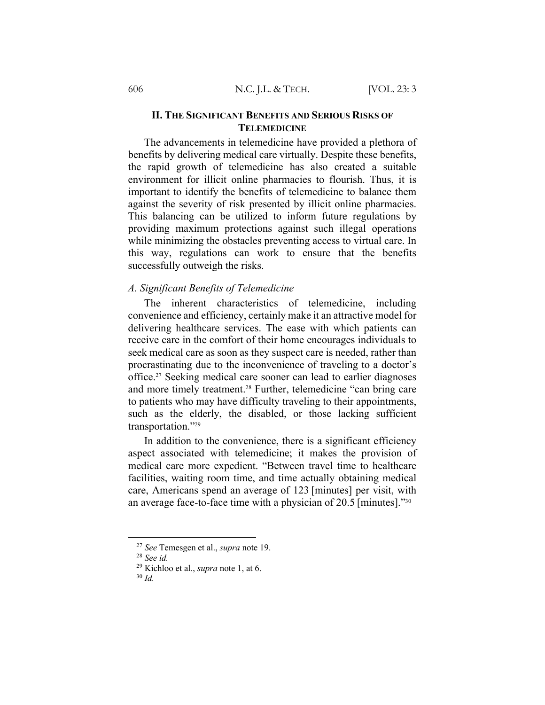### **II. THE SIGNIFICANT BENEFITS AND SERIOUS RISKS OF TELEMEDICINE**

The advancements in telemedicine have provided a plethora of benefits by delivering medical care virtually. Despite these benefits, the rapid growth of telemedicine has also created a suitable environment for illicit online pharmacies to flourish. Thus, it is important to identify the benefits of telemedicine to balance them against the severity of risk presented by illicit online pharmacies. This balancing can be utilized to inform future regulations by providing maximum protections against such illegal operations while minimizing the obstacles preventing access to virtual care. In this way, regulations can work to ensure that the benefits successfully outweigh the risks.

## *A. Significant Benefits of Telemedicine*

The inherent characteristics of telemedicine, including convenience and efficiency, certainly make it an attractive model for delivering healthcare services. The ease with which patients can receive care in the comfort of their home encourages individuals to seek medical care as soon as they suspect care is needed, rather than procrastinating due to the inconvenience of traveling to a doctor's office.27 Seeking medical care sooner can lead to earlier diagnoses and more timely treatment.<sup>28</sup> Further, telemedicine "can bring care to patients who may have difficulty traveling to their appointments, such as the elderly, the disabled, or those lacking sufficient transportation."29

In addition to the convenience, there is a significant efficiency aspect associated with telemedicine; it makes the provision of medical care more expedient. "Between travel time to healthcare facilities, waiting room time, and time actually obtaining medical care, Americans spend an average of 123 [minutes] per visit, with an average face-to-face time with a physician of 20.5 [minutes]."30

<sup>27</sup> *See* Temesgen et al., *supra* note 19.

<sup>28</sup> *See id.*

<sup>29</sup> Kichloo et al., *supra* note 1, at 6.

<sup>30</sup> *Id.*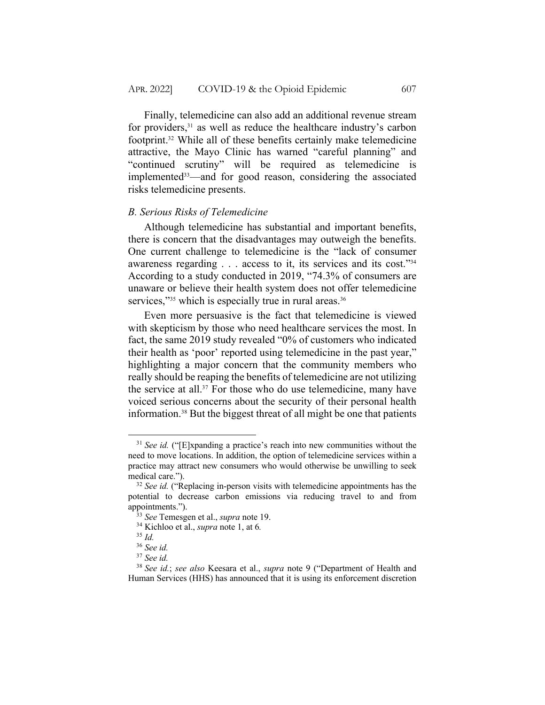Finally, telemedicine can also add an additional revenue stream for providers,<sup>31</sup> as well as reduce the healthcare industry's carbon footprint.32 While all of these benefits certainly make telemedicine attractive, the Mayo Clinic has warned "careful planning" and "continued scrutiny" will be required as telemedicine is implemented<sup>33</sup>—and for good reason, considering the associated risks telemedicine presents.

### *B. Serious Risks of Telemedicine*

Although telemedicine has substantial and important benefits, there is concern that the disadvantages may outweigh the benefits. One current challenge to telemedicine is the "lack of consumer awareness regarding . . . access to it, its services and its cost."34 According to a study conducted in 2019, "74.3% of consumers are unaware or believe their health system does not offer telemedicine services,"35 which is especially true in rural areas.<sup>36</sup>

Even more persuasive is the fact that telemedicine is viewed with skepticism by those who need healthcare services the most. In fact, the same 2019 study revealed "0% of customers who indicated their health as 'poor' reported using telemedicine in the past year," highlighting a major concern that the community members who really should be reaping the benefits of telemedicine are not utilizing the service at all.37 For those who do use telemedicine, many have voiced serious concerns about the security of their personal health information.38 But the biggest threat of all might be one that patients

<sup>31</sup> *See id.* ("[E]xpanding a practice's reach into new communities without the need to move locations. In addition, the option of telemedicine services within a practice may attract new consumers who would otherwise be unwilling to seek medical care.").

<sup>&</sup>lt;sup>32</sup> *See id.* ("Replacing in-person visits with telemedicine appointments has the potential to decrease carbon emissions via reducing travel to and from appointments.").

<sup>33</sup> *See* Temesgen et al., *supra* note 19.

<sup>34</sup> Kichloo et al., *supra* note 1, at 6*.*

<sup>35</sup> *Id.*

<sup>36</sup> *See id.*

<sup>37</sup> *See id.*

<sup>38</sup> *See id.*; *see also* Keesara et al., *supra* note 9 ("Department of Health and Human Services (HHS) has announced that it is using its enforcement discretion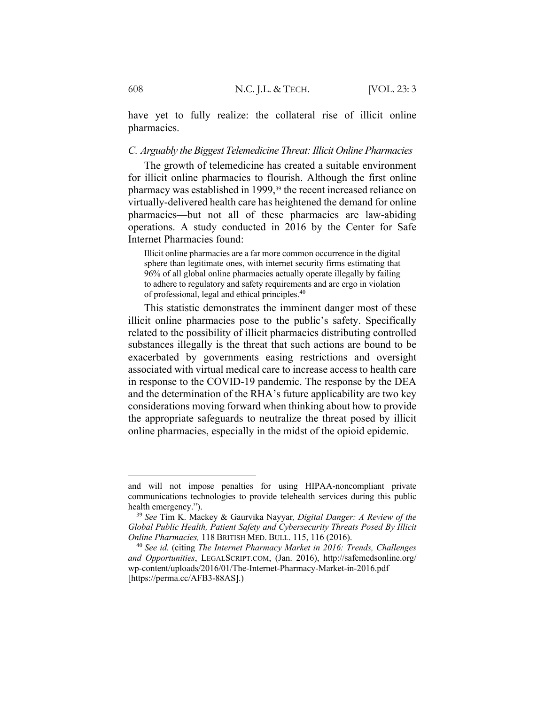have yet to fully realize: the collateral rise of illicit online pharmacies.

#### *C. Arguably the Biggest Telemedicine Threat: Illicit Online Pharmacies*

The growth of telemedicine has created a suitable environment for illicit online pharmacies to flourish. Although the first online pharmacy was established in 1999,39 the recent increased reliance on virtually-delivered health care has heightened the demand for online pharmacies—but not all of these pharmacies are law-abiding operations. A study conducted in 2016 by the Center for Safe Internet Pharmacies found:

Illicit online pharmacies are a far more common occurrence in the digital sphere than legitimate ones, with internet security firms estimating that 96% of all global online pharmacies actually operate illegally by failing to adhere to regulatory and safety requirements and are ergo in violation of professional, legal and ethical principles.40

This statistic demonstrates the imminent danger most of these illicit online pharmacies pose to the public's safety. Specifically related to the possibility of illicit pharmacies distributing controlled substances illegally is the threat that such actions are bound to be exacerbated by governments easing restrictions and oversight associated with virtual medical care to increase access to health care in response to the COVID-19 pandemic. The response by the DEA and the determination of the RHA's future applicability are two key considerations moving forward when thinking about how to provide the appropriate safeguards to neutralize the threat posed by illicit online pharmacies, especially in the midst of the opioid epidemic.

and will not impose penalties for using HIPAA-noncompliant private communications technologies to provide telehealth services during this public health emergency.").

<sup>39</sup> *See* Tim K. Mackey & Gaurvika Nayyar*, Digital Danger: A Review of the Global Public Health, Patient Safety and Cybersecurity Threats Posed By Illicit Online Pharmacies,* 118 BRITISH MED. BULL. 115, 116 (2016).

<sup>40</sup> *See id.* (citing *The Internet Pharmacy Market in 2016: Trends, Challenges and Opportunities*, LEGALSCRIPT.COM, (Jan. 2016), http://safemedsonline.org/ wp-content/uploads/2016/01/The-Internet-Pharmacy-Market-in-2016.pdf [https://perma.cc/AFB3-88AS].)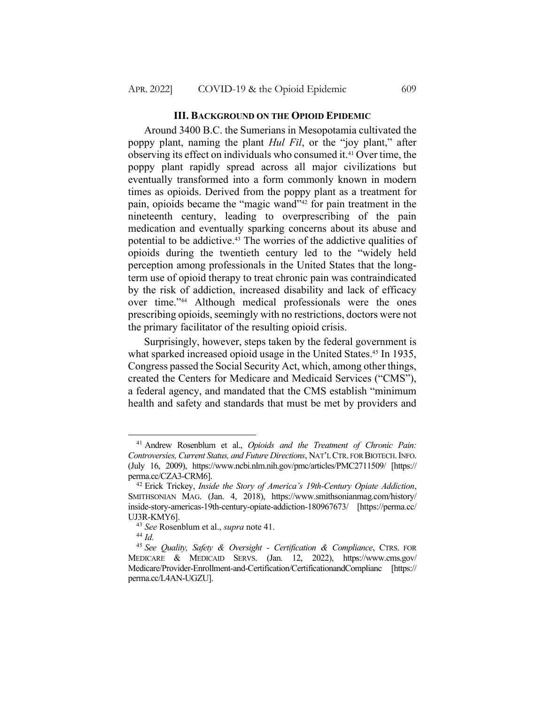### **III. BACKGROUND ON THE OPIOID EPIDEMIC**

Around 3400 B.C. the Sumerians in Mesopotamia cultivated the poppy plant, naming the plant *Hul Fil*, or the "joy plant," after observing its effect on individuals who consumed it.41 Over time, the poppy plant rapidly spread across all major civilizations but eventually transformed into a form commonly known in modern times as opioids. Derived from the poppy plant as a treatment for pain, opioids became the "magic wand"42 for pain treatment in the nineteenth century, leading to overprescribing of the pain medication and eventually sparking concerns about its abuse and potential to be addictive.43 The worries of the addictive qualities of opioids during the twentieth century led to the "widely held perception among professionals in the United States that the longterm use of opioid therapy to treat chronic pain was contraindicated by the risk of addiction, increased disability and lack of efficacy over time."44 Although medical professionals were the ones prescribing opioids, seemingly with no restrictions, doctors were not the primary facilitator of the resulting opioid crisis.

Surprisingly, however, steps taken by the federal government is what sparked increased opioid usage in the United States.<sup>45</sup> In 1935, Congress passed the Social Security Act, which, among other things, created the Centers for Medicare and Medicaid Services ("CMS"), a federal agency, and mandated that the CMS establish "minimum health and safety and standards that must be met by providers and

<sup>41</sup> Andrew Rosenblum et al., *Opioids and the Treatment of Chronic Pain: Controversies, Current Status, and Future Directions*, NAT'L CTR. FOR BIOTECH.INFO. (July 16, 2009), https://www.ncbi.nlm.nih.gov/pmc/articles/PMC2711509/ [https:// perma.cc/CZA3-CRM6].

<sup>42</sup> Erick Trickey, *Inside the Story of America's 19th-Century Opiate Addiction*, SMITHSONIAN MAG. (Jan. 4, 2018), https://www.smithsonianmag.com/history/ inside-story-americas-19th-century-opiate-addiction-180967673/ [https://perma.cc/ UJ3R-KMY6].

<sup>43</sup> *See* Rosenblum et al., *supra* note 41.

<sup>44</sup> *Id.*

<sup>45</sup> *See Quality, Safety & Oversight - Certification & Compliance*, CTRS. FOR MEDICARE & MEDICAID SERVS. (Jan. 12, 2022), https://www.cms.gov/ Medicare/Provider-Enrollment-and-Certification/CertificationandComplianc [https:// perma.cc/L4AN-UGZU].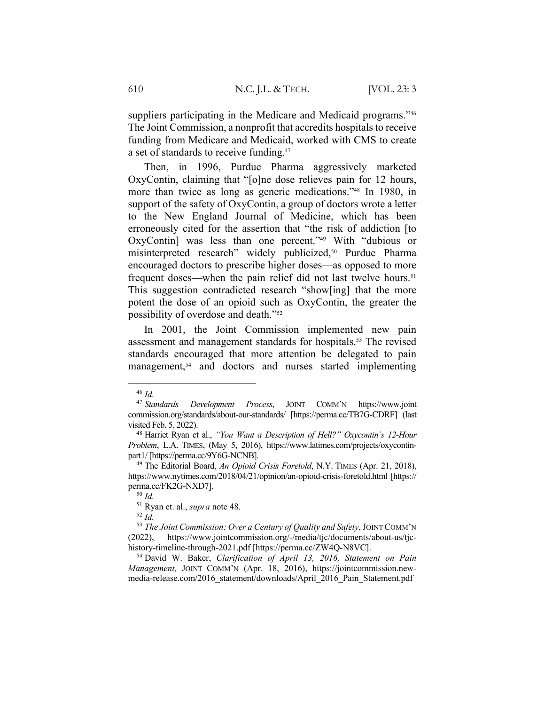suppliers participating in the Medicare and Medicaid programs."<sup>46</sup> The Joint Commission, a nonprofit that accredits hospitals to receive funding from Medicare and Medicaid, worked with CMS to create a set of standards to receive funding.<sup>47</sup>

Then, in 1996, Purdue Pharma aggressively marketed OxyContin, claiming that "[o]ne dose relieves pain for 12 hours, more than twice as long as generic medications."48 In 1980, in support of the safety of OxyContin, a group of doctors wrote a letter to the New England Journal of Medicine, which has been erroneously cited for the assertion that "the risk of addiction [to OxyContin] was less than one percent."49 With "dubious or misinterpreted research" widely publicized,<sup>50</sup> Purdue Pharma encouraged doctors to prescribe higher doses—as opposed to more frequent doses—when the pain relief did not last twelve hours.<sup>51</sup> This suggestion contradicted research "show[ing] that the more potent the dose of an opioid such as OxyContin, the greater the possibility of overdose and death."52

In 2001, the Joint Commission implemented new pain assessment and management standards for hospitals.<sup>53</sup> The revised standards encouraged that more attention be delegated to pain management,<sup>54</sup> and doctors and nurses started implementing

 $52 \dot{Id}$ 

<sup>54</sup> David W. Baker, *Clarification of April 13, 2016, Statement on Pain Management,* JOINT COMM'N (Apr. 18, 2016), https://jointcommission.newmedia-release.com/2016\_statement/downloads/April\_2016\_Pain\_Statement.pdf

<sup>46</sup> *Id.*

<sup>47</sup> *Standards Development Process*, JOINT COMM'N https://www.joint commission.org/standards/about-our-standards/ [https://perma.cc/TB7G-CDRF] (last visited Feb. 5, 2022).

<sup>48</sup> Harriet Ryan et al., *"You Want a Description of Hell?" Oxycontin's 12-Hour Problem*, L.A. TIMES, (May 5, 2016), https://www.latimes.com/projects/oxycontinpart1/ [https://perma.cc/9Y6G-NCNB].

<sup>49</sup> The Editorial Board, *An Opioid Crisis Foretold*, N.Y. TIMES (Apr. 21, 2018), https://www.nytimes.com/2018/04/21/opinion/an-opioid-crisis-foretold.html [https:// perma.cc/FK2G-NXD7].

<sup>50</sup> *Id.*

<sup>51</sup> Ryan et. al., *supra* note 48.

<sup>53</sup> *The Joint Commission: Over a Century of Quality and Safety*, JOINT COMM'N (2022), https://www.jointcommission.org/-/media/tjc/documents/about-us/tjchistory-timeline-through-2021.pdf [https://perma.cc/ZW4Q-N8VC].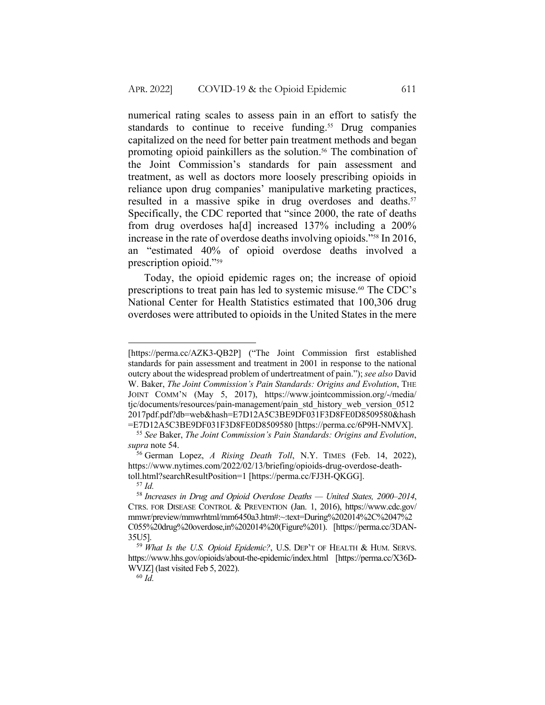numerical rating scales to assess pain in an effort to satisfy the standards to continue to receive funding.<sup>55</sup> Drug companies capitalized on the need for better pain treatment methods and began promoting opioid painkillers as the solution.<sup>56</sup> The combination of the Joint Commission's standards for pain assessment and treatment, as well as doctors more loosely prescribing opioids in reliance upon drug companies' manipulative marketing practices, resulted in a massive spike in drug overdoses and deaths.<sup>57</sup> Specifically, the CDC reported that "since 2000, the rate of deaths from drug overdoses ha[d] increased 137% including a 200% increase in the rate of overdose deaths involving opioids."58 In 2016, an "estimated 40% of opioid overdose deaths involved a prescription opioid."59

Today, the opioid epidemic rages on; the increase of opioid prescriptions to treat pain has led to systemic misuse.60 The CDC's National Center for Health Statistics estimated that 100,306 drug overdoses were attributed to opioids in the United States in the mere

<sup>[</sup>https://perma.cc/AZK3-QB2P] ("The Joint Commission first established standards for pain assessment and treatment in 2001 in response to the national outcry about the widespread problem of undertreatment of pain."); *see also* David W. Baker, *The Joint Commission's Pain Standards: Origins and Evolution*, THE JOINT COMM'N (May 5, 2017), https://www.jointcommission.org/-/media/ tjc/documents/resources/pain-management/pain\_std\_history\_web\_version\_0512 2017pdf.pdf?db=web&hash=E7D12A5C3BE9DF031F3D8FE0D8509580&hash =E7D12A5C3BE9DF031F3D8FE0D8509580 [https://perma.cc/6P9H-NMVX].

<sup>55</sup> *See* Baker, *The Joint Commission's Pain Standards: Origins and Evolution*, *supra* note 54.

<sup>56</sup> German Lopez, *A Rising Death Toll*, N.Y. TIMES (Feb. 14, 2022), https://www.nytimes.com/2022/02/13/briefing/opioids-drug-overdose-deathtoll.html?searchResultPosition=1 [https://perma.cc/FJ3H-QKGG].

<sup>57</sup> *Id.*

<sup>58</sup> *Increases in Drug and Opioid Overdose Deaths — United States, 2000–2014*, CTRS. FOR DISEASE CONTROL & PREVENTION (Jan. 1, 2016), https://www.cdc.gov/ mmwr/preview/mmwrhtml/mm6450a3.htm#:~:text=During%202014%2C%2047%2 C055%20drug%20overdose,in%202014%20(Figure%201). [https://perma.cc/3DAN-35U5].

<sup>59</sup> *What Is the U.S. Opioid Epidemic?*, U.S. DEP'T OF HEALTH & HUM. SERVS. https://www.hhs.gov/opioids/about-the-epidemic/index.html [https://perma.cc/X36D-WVJZ] (last visited Feb 5, 2022).

<sup>60</sup> *Id.*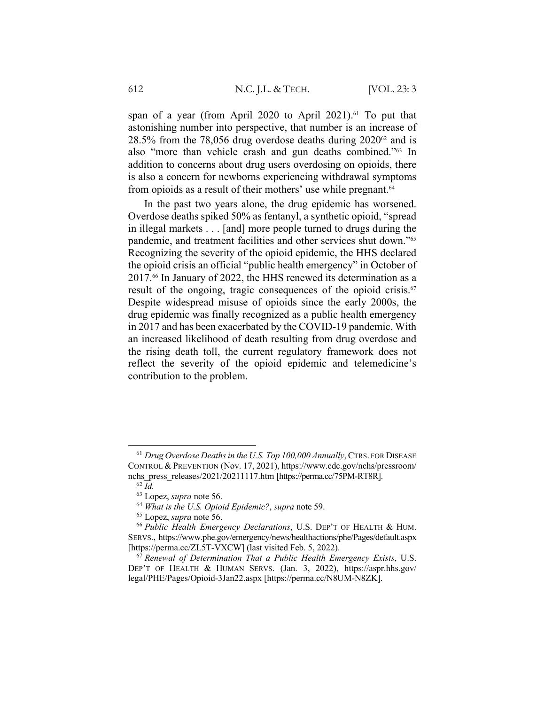span of a year (from April 2020 to April 2021).<sup>61</sup> To put that astonishing number into perspective, that number is an increase of 28.5% from the 78,056 drug overdose deaths during  $2020^{62}$  and is also "more than vehicle crash and gun deaths combined."63 In addition to concerns about drug users overdosing on opioids, there is also a concern for newborns experiencing withdrawal symptoms from opioids as a result of their mothers' use while pregnant.<sup>64</sup>

In the past two years alone, the drug epidemic has worsened. Overdose deaths spiked 50% as fentanyl, a synthetic opioid, "spread in illegal markets . . . [and] more people turned to drugs during the pandemic, and treatment facilities and other services shut down."65 Recognizing the severity of the opioid epidemic, the HHS declared the opioid crisis an official "public health emergency" in October of 2017.66 In January of 2022, the HHS renewed its determination as a result of the ongoing, tragic consequences of the opioid crisis.<sup>67</sup> Despite widespread misuse of opioids since the early 2000s, the drug epidemic was finally recognized as a public health emergency in 2017 and has been exacerbated by the COVID-19 pandemic. With an increased likelihood of death resulting from drug overdose and the rising death toll, the current regulatory framework does not reflect the severity of the opioid epidemic and telemedicine's contribution to the problem.

<sup>61</sup> *Drug Overdose Deaths in the U.S. Top 100,000 Annually*, CTRS. FOR DISEASE CONTROL & PREVENTION (Nov. 17, 2021), https://www.cdc.gov/nchs/pressroom/ nchs press releases/2021/20211117.htm [https://perma.cc/75PM-RT8R].

<sup>62</sup> *Id.*

<sup>63</sup> Lopez, *supra* note 56.

<sup>64</sup> *What is the U.S. Opioid Epidemic?*, *supra* note 59.

<sup>65</sup> Lopez, *supra* note 56.

<sup>66</sup> *Public Health Emergency Declarations*, U.S. DEP'T OF HEALTH & HUM. SERVS., https://www.phe.gov/emergency/news/healthactions/phe/Pages/default.aspx [https://perma.cc/ZL5T-VXCW] (last visited Feb. 5, 2022).

<sup>67</sup> *Renewal of Determination That a Public Health Emergency Exists*, U.S. DEP'T OF HEALTH & HUMAN SERVS. (Jan. 3, 2022), https://aspr.hhs.gov/ legal/PHE/Pages/Opioid-3Jan22.aspx [https://perma.cc/N8UM-N8ZK].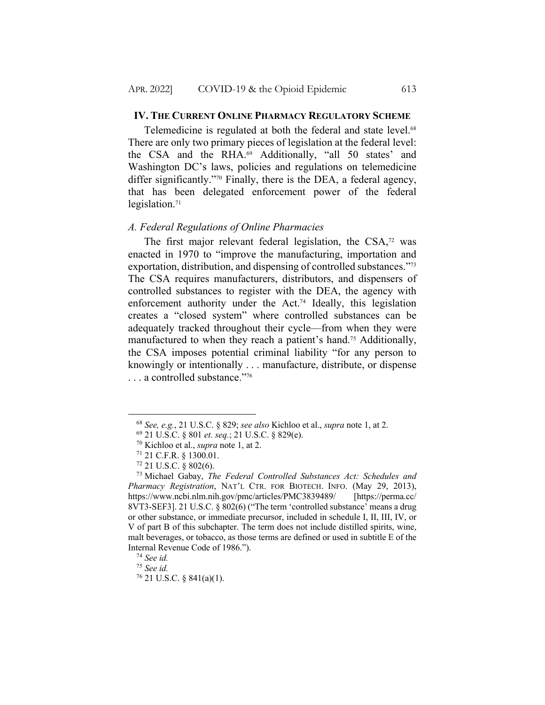#### **IV. THE CURRENT ONLINE PHARMACY REGULATORY SCHEME**

Telemedicine is regulated at both the federal and state level.<sup>68</sup> There are only two primary pieces of legislation at the federal level: the CSA and the RHA.<sup>69</sup> Additionally, "all 50 states' and Washington DC's laws, policies and regulations on telemedicine differ significantly."70 Finally, there is the DEA, a federal agency, that has been delegated enforcement power of the federal legislation. $71$ 

### *A. Federal Regulations of Online Pharmacies*

The first major relevant federal legislation, the  $CSA$ ,<sup>72</sup> was enacted in 1970 to "improve the manufacturing, importation and exportation, distribution, and dispensing of controlled substances."73 The CSA requires manufacturers, distributors, and dispensers of controlled substances to register with the DEA, the agency with enforcement authority under the Act.<sup>74</sup> Ideally, this legislation creates a "closed system" where controlled substances can be adequately tracked throughout their cycle—from when they were manufactured to when they reach a patient's hand.75 Additionally, the CSA imposes potential criminal liability "for any person to knowingly or intentionally . . . manufacture, distribute, or dispense . . . a controlled substance."76

<sup>68</sup> *See, e.g.*, 21 U.S.C. § 829; *see also* Kichloo et al., *supra* note 1, at 2.

<sup>69</sup> 21 U.S.C. § 801 *et. seq.*; 21 U.S.C. § 829(e).

<sup>70</sup> Kichloo et al., *supra* note 1, at 2.

<sup>71</sup> 21 C.F.R. § 1300.01.

<sup>72</sup> 21 U.S.C. § 802(6).

<sup>73</sup> Michael Gabay, *The Federal Controlled Substances Act: Schedules and Pharmacy Registration*, NAT'L CTR. FOR BIOTECH. INFO. (May 29, 2013), https://www.ncbi.nlm.nih.gov/pmc/articles/PMC3839489/ [https://perma.cc/ 8VT3-SEF3]. 21 U.S.C. § 802(6) ("The term 'controlled substance' means a drug or other substance, or immediate precursor, included in schedule I, II, III, IV, or V of part B of this subchapter. The term does not include distilled spirits, wine, malt beverages, or tobacco, as those terms are defined or used in subtitle E of the Internal Revenue Code of 1986.").

<sup>74</sup> *See id.*

<sup>75</sup> *See id.*

 $76$  21 U.S.C. § 841(a)(1).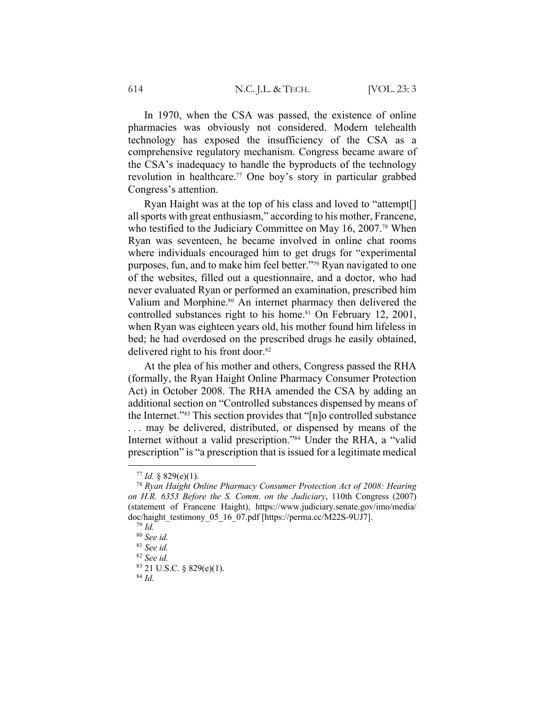In 1970, when the CSA was passed, the existence of online pharmacies was obviously not considered. Modern telehealth technology has exposed the insufficiency of the CSA as a comprehensive regulatory mechanism. Congress became aware of the CSA's inadequacy to handle the byproducts of the technology revolution in healthcare.77 One boy's story in particular grabbed Congress's attention.

Ryan Haight was at the top of his class and loved to "attempt[] all sports with great enthusiasm," according to his mother, Francene, who testified to the Judiciary Committee on May 16, 2007.<sup>78</sup> When Ryan was seventeen, he became involved in online chat rooms where individuals encouraged him to get drugs for "experimental purposes, fun, and to make him feel better."79 Ryan navigated to one of the websites, filled out a questionnaire, and a doctor, who had never evaluated Ryan or performed an examination, prescribed him Valium and Morphine.<sup>80</sup> An internet pharmacy then delivered the controlled substances right to his home.<sup>81</sup> On February 12, 2001, when Ryan was eighteen years old, his mother found him lifeless in bed; he had overdosed on the prescribed drugs he easily obtained, delivered right to his front door.<sup>82</sup>

At the plea of his mother and others, Congress passed the RHA (formally, the Ryan Haight Online Pharmacy Consumer Protection Act) in October 2008. The RHA amended the CSA by adding an additional section on "Controlled substances dispensed by means of the Internet."83 This section provides that "[n]o controlled substance . . . may be delivered, distributed, or dispensed by means of the Internet without a valid prescription."84 Under the RHA, a "valid prescription" is "a prescription that is issued for a legitimate medical

 $77$  *Id.* § 829(e)(1).

<sup>78</sup> *Ryan Haight Online Pharmacy Consumer Protection Act of 2008: Hearing on H.R. 6353 Before the S. Comm. on the Judiciary*, 110th Congress (2007) (statement of Francene Haight), https://www.judiciary.senate.gov/imo/media/ doc/haight testimony 05 16 07.pdf [https://perma.cc/M22S-9UJ7].

<sup>79</sup> *Id.*

<sup>80</sup> *See id.*

<sup>81</sup> *See id.*

<sup>82</sup> *See id.*

<sup>83</sup> 21 U.S.C. § 829(e)(1).

<sup>84</sup> *Id.*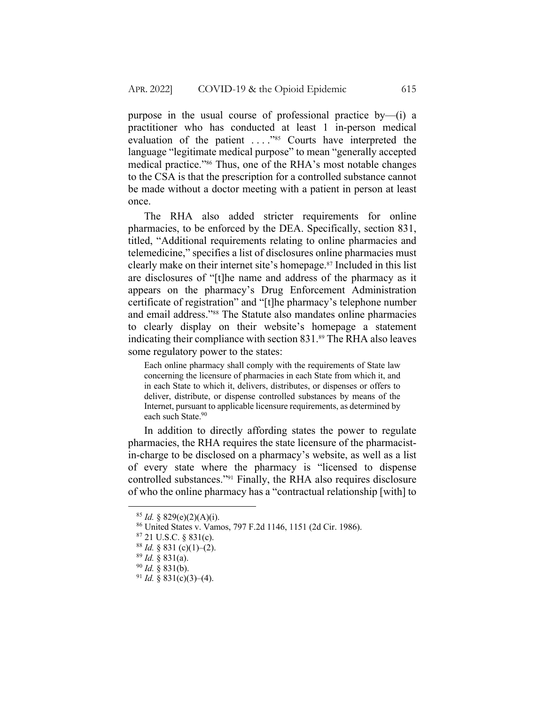purpose in the usual course of professional practice by—(i) a practitioner who has conducted at least 1 in-person medical evaluation of the patient ...."85 Courts have interpreted the language "legitimate medical purpose" to mean "generally accepted medical practice."86 Thus, one of the RHA's most notable changes to the CSA is that the prescription for a controlled substance cannot be made without a doctor meeting with a patient in person at least once.

The RHA also added stricter requirements for online pharmacies, to be enforced by the DEA. Specifically, section 831, titled, "Additional requirements relating to online pharmacies and telemedicine," specifies a list of disclosures online pharmacies must clearly make on their internet site's homepage.87 Included in this list are disclosures of "[t]he name and address of the pharmacy as it appears on the pharmacy's Drug Enforcement Administration certificate of registration" and "[t]he pharmacy's telephone number and email address."88 The Statute also mandates online pharmacies to clearly display on their website's homepage a statement indicating their compliance with section 831.<sup>89</sup> The RHA also leaves some regulatory power to the states:

Each online pharmacy shall comply with the requirements of State law concerning the licensure of pharmacies in each State from which it, and in each State to which it, delivers, distributes, or dispenses or offers to deliver, distribute, or dispense controlled substances by means of the Internet, pursuant to applicable licensure requirements, as determined by each such State.<sup>90</sup>

In addition to directly affording states the power to regulate pharmacies, the RHA requires the state licensure of the pharmacistin-charge to be disclosed on a pharmacy's website, as well as a list of every state where the pharmacy is "licensed to dispense controlled substances."91 Finally, the RHA also requires disclosure of who the online pharmacy has a "contractual relationship [with] to

 $85$  *Id.* § 829(e)(2)(A)(i).

<sup>86</sup> United States v. Vamos, 797 F.2d 1146, 1151 (2d Cir. 1986).

 $87$  21 U.S.C. § 831(c).

 $88$  *Id.* § 831 (c)(1)–(2).

<sup>89</sup> *Id.* § 831(a).

<sup>90</sup> *Id.* § 831(b).

 $91$  *Id.* § 831(c)(3)–(4).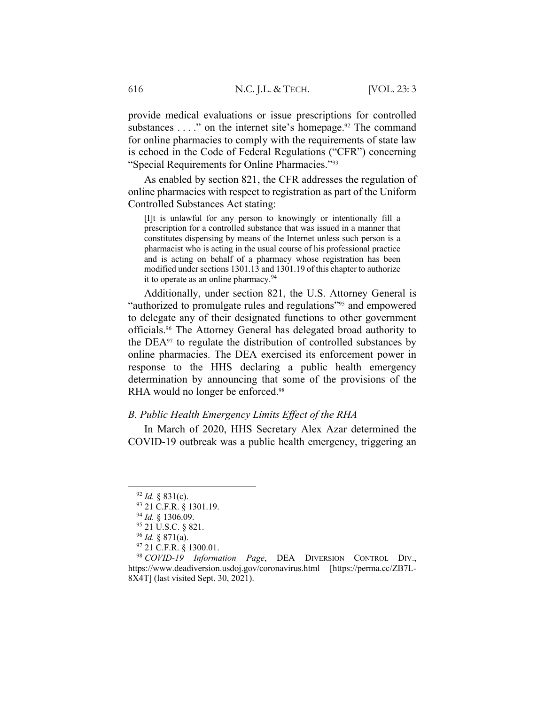provide medical evaluations or issue prescriptions for controlled substances . . . ." on the internet site's homepage.<sup>92</sup> The command for online pharmacies to comply with the requirements of state law is echoed in the Code of Federal Regulations ("CFR") concerning "Special Requirements for Online Pharmacies."93

As enabled by section 821, the CFR addresses the regulation of online pharmacies with respect to registration as part of the Uniform Controlled Substances Act stating:

[I]t is unlawful for any person to knowingly or intentionally fill a prescription for a controlled substance that was issued in a manner that constitutes dispensing by means of the Internet unless such person is a pharmacist who is acting in the usual course of his professional practice and is acting on behalf of a pharmacy whose registration has been modified under sections 1301.13 and 1301.19 of this chapter to authorize it to operate as an online pharmacy.<sup>94</sup>

Additionally, under section 821, the U.S. Attorney General is "authorized to promulgate rules and regulations"<sup>95</sup> and empowered to delegate any of their designated functions to other government officials.96 The Attorney General has delegated broad authority to the DEA97 to regulate the distribution of controlled substances by online pharmacies. The DEA exercised its enforcement power in response to the HHS declaring a public health emergency determination by announcing that some of the provisions of the RHA would no longer be enforced.<sup>98</sup>

### *B. Public Health Emergency Limits Effect of the RHA*

In March of 2020, HHS Secretary Alex Azar determined the COVID-19 outbreak was a public health emergency, triggering an

 $92$  *Id.* § 831(c).

<sup>93 21</sup> C.F.R. § 1301.19.

<sup>94</sup> *Id.* § 1306.09.

<sup>95</sup> 21 U.S.C. § 821.

<sup>96</sup> *Id.* § 871(a).

<sup>97</sup> 21 C.F.R. § 1300.01.

<sup>98</sup> *COVID-19 Information Page*, DEA DIVERSION CONTROL DIV., https://www.deadiversion.usdoj.gov/coronavirus.html [https://perma.cc/ZB7L-8X4T] (last visited Sept. 30, 2021).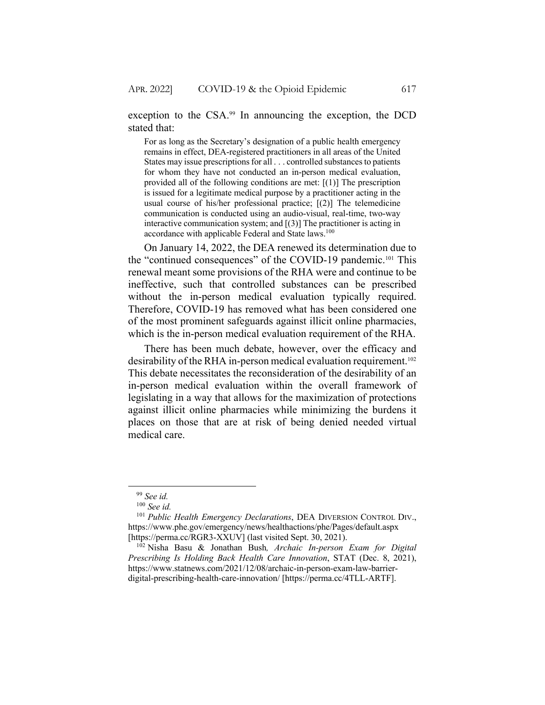exception to the CSA.<sup>99</sup> In announcing the exception, the DCD stated that:

For as long as the Secretary's designation of a public health emergency remains in effect, DEA-registered practitioners in all areas of the United States may issue prescriptions for all . . . controlled substances to patients for whom they have not conducted an in-person medical evaluation, provided all of the following conditions are met: [(1)] The prescription is issued for a legitimate medical purpose by a practitioner acting in the usual course of his/her professional practice; [(2)] The telemedicine communication is conducted using an audio-visual, real-time, two-way interactive communication system; and  $[(3)]$  The practitioner is acting in accordance with applicable Federal and State laws.<sup>100</sup>

On January 14, 2022, the DEA renewed its determination due to the "continued consequences" of the COVID-19 pandemic.101 This renewal meant some provisions of the RHA were and continue to be ineffective, such that controlled substances can be prescribed without the in-person medical evaluation typically required. Therefore, COVID-19 has removed what has been considered one of the most prominent safeguards against illicit online pharmacies, which is the in-person medical evaluation requirement of the RHA.

There has been much debate, however, over the efficacy and desirability of the RHA in-person medical evaluation requirement.102 This debate necessitates the reconsideration of the desirability of an in-person medical evaluation within the overall framework of legislating in a way that allows for the maximization of protections against illicit online pharmacies while minimizing the burdens it places on those that are at risk of being denied needed virtual medical care.

<sup>99</sup> *See id.*

<sup>100</sup> *See id.*

<sup>101</sup> *Public Health Emergency Declarations*, DEA DIVERSION CONTROL DIV., https://www.phe.gov/emergency/news/healthactions/phe/Pages/default.aspx [https://perma.cc/RGR3-XXUV] (last visited Sept. 30, 2021).

<sup>102</sup> Nisha Basu & Jonathan Bush*, Archaic In-person Exam for Digital Prescribing Is Holding Back Health Care Innovation*, STAT (Dec. 8, 2021), https://www.statnews.com/2021/12/08/archaic-in-person-exam-law-barrierdigital-prescribing-health-care-innovation/ [https://perma.cc/4TLL-ARTF].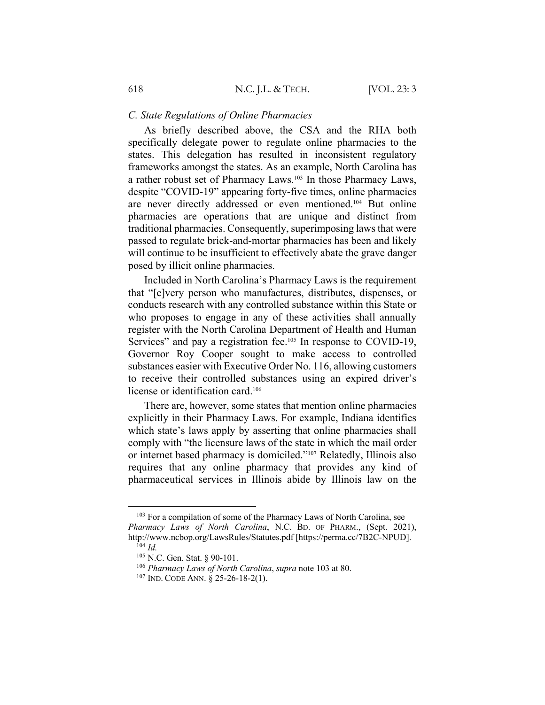### *C. State Regulations of Online Pharmacies*

As briefly described above, the CSA and the RHA both specifically delegate power to regulate online pharmacies to the states. This delegation has resulted in inconsistent regulatory frameworks amongst the states. As an example, North Carolina has a rather robust set of Pharmacy Laws.<sup>103</sup> In those Pharmacy Laws, despite "COVID-19" appearing forty-five times, online pharmacies are never directly addressed or even mentioned.104 But online pharmacies are operations that are unique and distinct from traditional pharmacies. Consequently, superimposing laws that were passed to regulate brick-and-mortar pharmacies has been and likely will continue to be insufficient to effectively abate the grave danger posed by illicit online pharmacies.

Included in North Carolina's Pharmacy Laws is the requirement that "[e]very person who manufactures, distributes, dispenses, or conducts research with any controlled substance within this State or who proposes to engage in any of these activities shall annually register with the North Carolina Department of Health and Human Services" and pay a registration fee.<sup>105</sup> In response to COVID-19, Governor Roy Cooper sought to make access to controlled substances easier with Executive Order No. 116, allowing customers to receive their controlled substances using an expired driver's license or identification card.106

There are, however, some states that mention online pharmacies explicitly in their Pharmacy Laws. For example, Indiana identifies which state's laws apply by asserting that online pharmacies shall comply with "the licensure laws of the state in which the mail order or internet based pharmacy is domiciled."107 Relatedly, Illinois also requires that any online pharmacy that provides any kind of pharmaceutical services in Illinois abide by Illinois law on the

<sup>&</sup>lt;sup>103</sup> For a compilation of some of the Pharmacy Laws of North Carolina, see *Pharmacy Laws of North Carolina*, N.C. BD. OF PHARM., (Sept. 2021), http://www.ncbop.org/LawsRules/Statutes.pdf [https://perma.cc/7B2C-NPUD].

 $104$  *Id.* 

<sup>105</sup> N.C. Gen. Stat. § 90-101.

<sup>106</sup> *Pharmacy Laws of North Carolina*, *supra* note 103 at 80.

<sup>107</sup> IND. CODE ANN. § 25-26-18-2(1).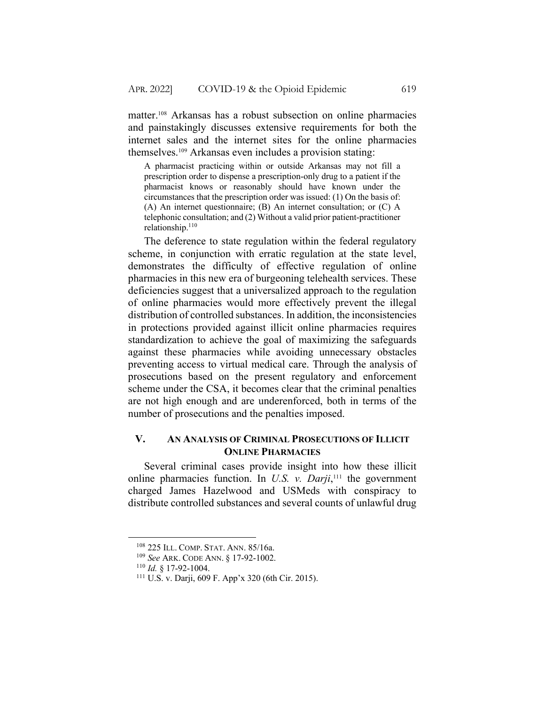matter.108 Arkansas has a robust subsection on online pharmacies and painstakingly discusses extensive requirements for both the internet sales and the internet sites for the online pharmacies themselves.109 Arkansas even includes a provision stating:

A pharmacist practicing within or outside Arkansas may not fill a prescription order to dispense a prescription-only drug to a patient if the pharmacist knows or reasonably should have known under the circumstances that the prescription order was issued: (1) On the basis of: (A) An internet questionnaire; (B) An internet consultation; or (C) A telephonic consultation; and (2) Without a valid prior patient-practitioner relationship.110

The deference to state regulation within the federal regulatory scheme, in conjunction with erratic regulation at the state level, demonstrates the difficulty of effective regulation of online pharmacies in this new era of burgeoning telehealth services. These deficiencies suggest that a universalized approach to the regulation of online pharmacies would more effectively prevent the illegal distribution of controlled substances. In addition, the inconsistencies in protections provided against illicit online pharmacies requires standardization to achieve the goal of maximizing the safeguards against these pharmacies while avoiding unnecessary obstacles preventing access to virtual medical care. Through the analysis of prosecutions based on the present regulatory and enforcement scheme under the CSA, it becomes clear that the criminal penalties are not high enough and are underenforced, both in terms of the number of prosecutions and the penalties imposed.

# **V. AN ANALYSIS OF CRIMINAL PROSECUTIONS OF ILLICIT ONLINE PHARMACIES**

Several criminal cases provide insight into how these illicit online pharmacies function. In *U.S. v. Darji*, <sup>111</sup> the government charged James Hazelwood and USMeds with conspiracy to distribute controlled substances and several counts of unlawful drug

<sup>108</sup> 225 ILL. COMP. STAT. ANN. 85/16a.

<sup>109</sup> *See* ARK. CODE ANN. § 17-92-1002.

<sup>110</sup> *Id.* § 17-92-1004.

<sup>111</sup> U.S. v. Darji, 609 F. App'x 320 (6th Cir. 2015).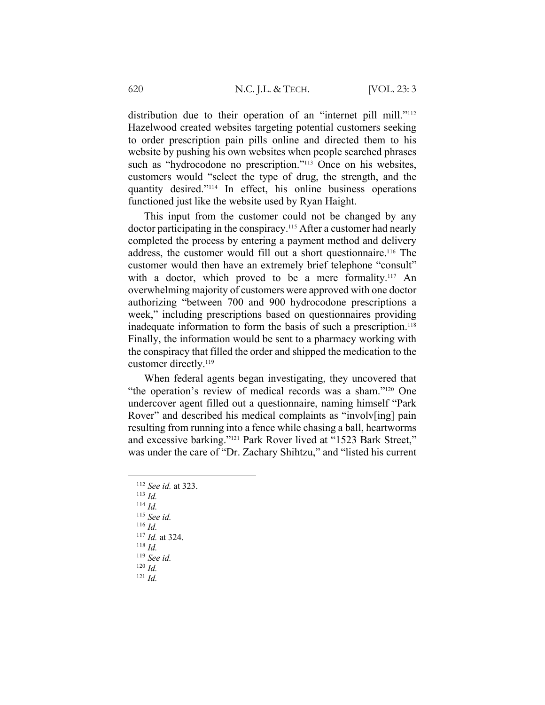distribution due to their operation of an "internet pill mill."<sup>112</sup> Hazelwood created websites targeting potential customers seeking to order prescription pain pills online and directed them to his website by pushing his own websites when people searched phrases such as "hydrocodone no prescription."<sup>113</sup> Once on his websites, customers would "select the type of drug, the strength, and the quantity desired."114 In effect, his online business operations functioned just like the website used by Ryan Haight.

This input from the customer could not be changed by any doctor participating in the conspiracy.<sup>115</sup> After a customer had nearly completed the process by entering a payment method and delivery address, the customer would fill out a short questionnaire.116 The customer would then have an extremely brief telephone "consult" with a doctor, which proved to be a mere formality.<sup>117</sup> An overwhelming majority of customers were approved with one doctor authorizing "between 700 and 900 hydrocodone prescriptions a week," including prescriptions based on questionnaires providing inadequate information to form the basis of such a prescription.<sup>118</sup> Finally, the information would be sent to a pharmacy working with the conspiracy that filled the order and shipped the medication to the customer directly.119

When federal agents began investigating, they uncovered that "the operation's review of medical records was a sham."120 One undercover agent filled out a questionnaire, naming himself "Park Rover" and described his medical complaints as "involv[ing] pain resulting from running into a fence while chasing a ball, heartworms and excessive barking."121 Park Rover lived at "1523 Bark Street," was under the care of "Dr. Zachary Shihtzu," and "listed his current

- <sup>113</sup> *Id.*
- <sup>114</sup> *Id.*

<sup>115</sup> *See id.* <sup>116</sup> *Id.*

- <sup>117</sup> *Id.* at 324.
- 
- <sup>118</sup> *Id.*

<sup>119</sup> *See id.* <sup>120</sup> *Id.*

<sup>121</sup> *Id.*

<sup>112</sup> *See id.* at 323.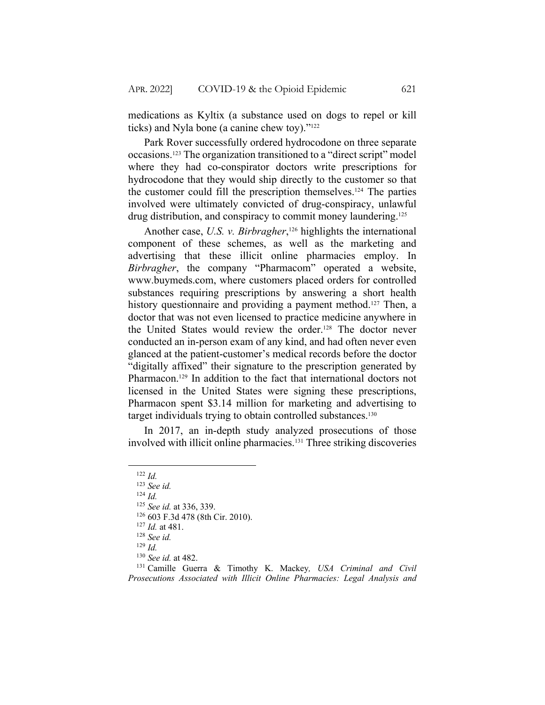medications as Kyltix (a substance used on dogs to repel or kill ticks) and Nyla bone (a canine chew toy)."122

Park Rover successfully ordered hydrocodone on three separate occasions.123 The organization transitioned to a "direct script" model where they had co-conspirator doctors write prescriptions for hydrocodone that they would ship directly to the customer so that the customer could fill the prescription themselves.124 The parties involved were ultimately convicted of drug-conspiracy, unlawful drug distribution, and conspiracy to commit money laundering.<sup>125</sup>

Another case, *U.S. v. Birbragher*, <sup>126</sup> highlights the international component of these schemes, as well as the marketing and advertising that these illicit online pharmacies employ. In *Birbragher*, the company "Pharmacom" operated a website, www.buymeds.com, where customers placed orders for controlled substances requiring prescriptions by answering a short health history questionnaire and providing a payment method.<sup>127</sup> Then, a doctor that was not even licensed to practice medicine anywhere in the United States would review the order.128 The doctor never conducted an in-person exam of any kind, and had often never even glanced at the patient-customer's medical records before the doctor "digitally affixed" their signature to the prescription generated by Pharmacon.129 In addition to the fact that international doctors not licensed in the United States were signing these prescriptions, Pharmacon spent \$3.14 million for marketing and advertising to target individuals trying to obtain controlled substances.<sup>130</sup>

In 2017, an in-depth study analyzed prosecutions of those involved with illicit online pharmacies.131 Three striking discoveries

<sup>128</sup> *See id.*

<sup>122</sup> *Id.*

<sup>123</sup> *See id.*

<sup>124</sup> *Id.*

<sup>125</sup> *See id.* at 336, 339.

<sup>126</sup> 603 F.3d 478 (8th Cir. 2010).

<sup>127</sup> *Id.* at 481.

<sup>129</sup> *Id.*

<sup>130</sup> *See id.* at 482.

<sup>131</sup> Camille Guerra & Timothy K. Mackey*, USA Criminal and Civil Prosecutions Associated with Illicit Online Pharmacies: Legal Analysis and*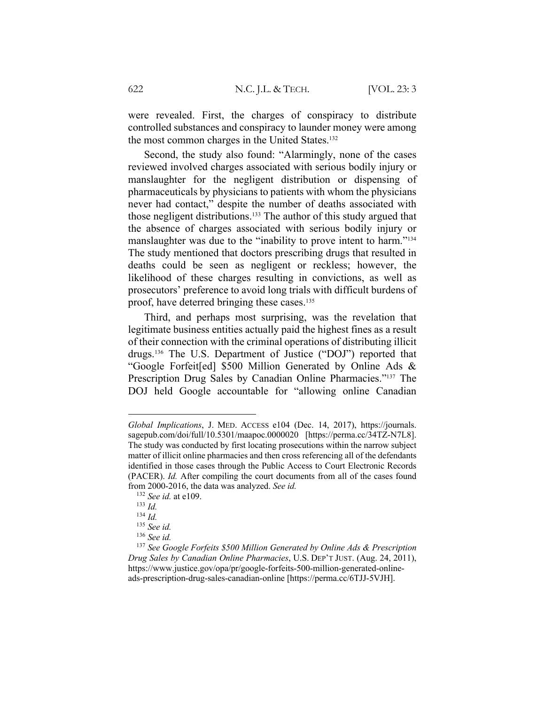were revealed. First, the charges of conspiracy to distribute controlled substances and conspiracy to launder money were among the most common charges in the United States.132

Second, the study also found: "Alarmingly, none of the cases reviewed involved charges associated with serious bodily injury or manslaughter for the negligent distribution or dispensing of pharmaceuticals by physicians to patients with whom the physicians never had contact," despite the number of deaths associated with those negligent distributions.133 The author of this study argued that the absence of charges associated with serious bodily injury or manslaughter was due to the "inability to prove intent to harm."<sup>134</sup> The study mentioned that doctors prescribing drugs that resulted in deaths could be seen as negligent or reckless; however, the likelihood of these charges resulting in convictions, as well as prosecutors' preference to avoid long trials with difficult burdens of proof, have deterred bringing these cases.135

Third, and perhaps most surprising, was the revelation that legitimate business entities actually paid the highest fines as a result of their connection with the criminal operations of distributing illicit drugs.136 The U.S. Department of Justice ("DOJ") reported that "Google Forfeit[ed] \$500 Million Generated by Online Ads & Prescription Drug Sales by Canadian Online Pharmacies."137 The DOJ held Google accountable for "allowing online Canadian

*Global Implications*, J. MED. ACCESS e104 (Dec. 14, 2017), https://journals. sagepub.com/doi/full/10.5301/maapoc.0000020 [https://perma.cc/34TZ-N7L8]. The study was conducted by first locating prosecutions within the narrow subject matter of illicit online pharmacies and then cross referencing all of the defendants identified in those cases through the Public Access to Court Electronic Records (PACER). *Id.* After compiling the court documents from all of the cases found from 2000-2016, the data was analyzed. *See id.*

<sup>132</sup> *See id.* at e109.

<sup>133</sup> *Id.*

<sup>134</sup> *Id.*

<sup>135</sup> *See id.*

<sup>136</sup> *See id.*

<sup>137</sup> *See Google Forfeits \$500 Million Generated by Online Ads & Prescription Drug Sales by Canadian Online Pharmacies*, U.S. DEP'T JUST. (Aug. 24, 2011), https://www.justice.gov/opa/pr/google-forfeits-500-million-generated-onlineads-prescription-drug-sales-canadian-online [https://perma.cc/6TJJ-5VJH].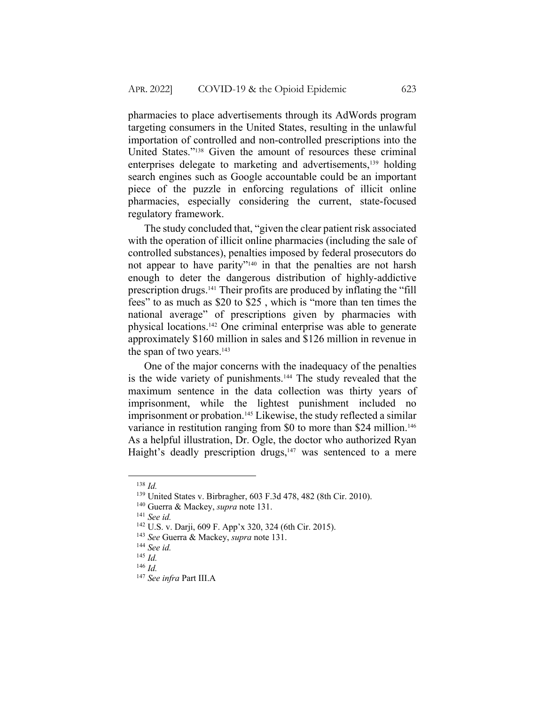pharmacies to place advertisements through its AdWords program targeting consumers in the United States, resulting in the unlawful importation of controlled and non-controlled prescriptions into the United States."138 Given the amount of resources these criminal enterprises delegate to marketing and advertisements,<sup>139</sup> holding search engines such as Google accountable could be an important piece of the puzzle in enforcing regulations of illicit online pharmacies, especially considering the current, state-focused regulatory framework.

The study concluded that, "given the clear patient risk associated with the operation of illicit online pharmacies (including the sale of controlled substances), penalties imposed by federal prosecutors do not appear to have parity"140 in that the penalties are not harsh enough to deter the dangerous distribution of highly-addictive prescription drugs.141 Their profits are produced by inflating the "fill fees" to as much as \$20 to \$25 , which is "more than ten times the national average" of prescriptions given by pharmacies with physical locations.142 One criminal enterprise was able to generate approximately \$160 million in sales and \$126 million in revenue in the span of two years. $143$ 

One of the major concerns with the inadequacy of the penalties is the wide variety of punishments.<sup>144</sup> The study revealed that the maximum sentence in the data collection was thirty years of imprisonment, while the lightest punishment included no imprisonment or probation.<sup>145</sup> Likewise, the study reflected a similar variance in restitution ranging from \$0 to more than \$24 million.<sup>146</sup> As a helpful illustration, Dr. Ogle, the doctor who authorized Ryan Haight's deadly prescription drugs,<sup>147</sup> was sentenced to a mere

<sup>138</sup> *Id.*

<sup>139</sup> United States v. Birbragher, 603 F.3d 478, 482 (8th Cir. 2010).

<sup>140</sup> Guerra & Mackey, *supra* note 131.

<sup>141</sup> *See id.*

<sup>142</sup> U.S. v. Darji, 609 F. App'x 320, 324 (6th Cir. 2015).

<sup>143</sup> *See* Guerra & Mackey, *supra* note 131.

<sup>144</sup> *See id.*

<sup>145</sup> *Id.*

<sup>146</sup> *Id.*

<sup>147</sup> *See infra* Part III.A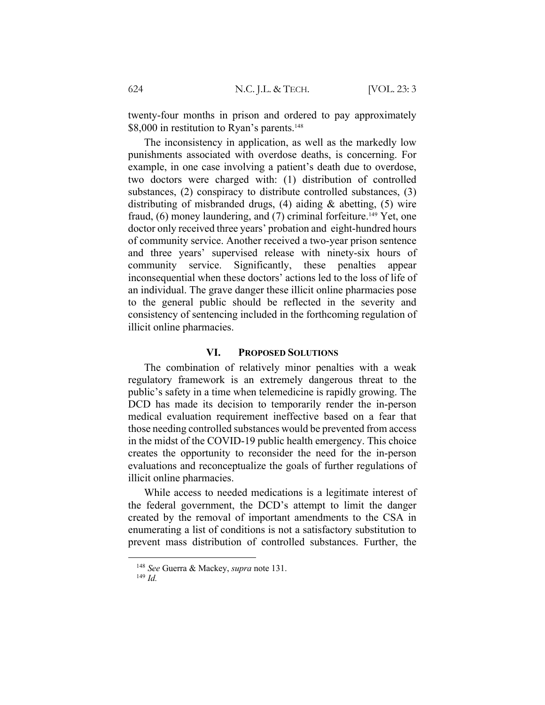twenty-four months in prison and ordered to pay approximately \$8,000 in restitution to Ryan's parents.<sup>148</sup>

The inconsistency in application, as well as the markedly low punishments associated with overdose deaths, is concerning. For example, in one case involving a patient's death due to overdose, two doctors were charged with: (1) distribution of controlled substances, (2) conspiracy to distribute controlled substances, (3) distributing of misbranded drugs, (4) aiding & abetting, (5) wire fraud,  $(6)$  money laundering, and  $(7)$  criminal forfeiture.<sup>149</sup> Yet, one doctor only received three years' probation and eight-hundred hours of community service. Another received a two-year prison sentence and three years' supervised release with ninety-six hours of community service. Significantly, these penalties appear inconsequential when these doctors' actions led to the loss of life of an individual. The grave danger these illicit online pharmacies pose to the general public should be reflected in the severity and consistency of sentencing included in the forthcoming regulation of illicit online pharmacies.

# **VI. PROPOSED SOLUTIONS**

The combination of relatively minor penalties with a weak regulatory framework is an extremely dangerous threat to the public's safety in a time when telemedicine is rapidly growing. The DCD has made its decision to temporarily render the in-person medical evaluation requirement ineffective based on a fear that those needing controlled substances would be prevented from access in the midst of the COVID-19 public health emergency. This choice creates the opportunity to reconsider the need for the in-person evaluations and reconceptualize the goals of further regulations of illicit online pharmacies.

While access to needed medications is a legitimate interest of the federal government, the DCD's attempt to limit the danger created by the removal of important amendments to the CSA in enumerating a list of conditions is not a satisfactory substitution to prevent mass distribution of controlled substances. Further, the

<sup>148</sup> *See* Guerra & Mackey, *supra* note 131.

<sup>149</sup> *Id.*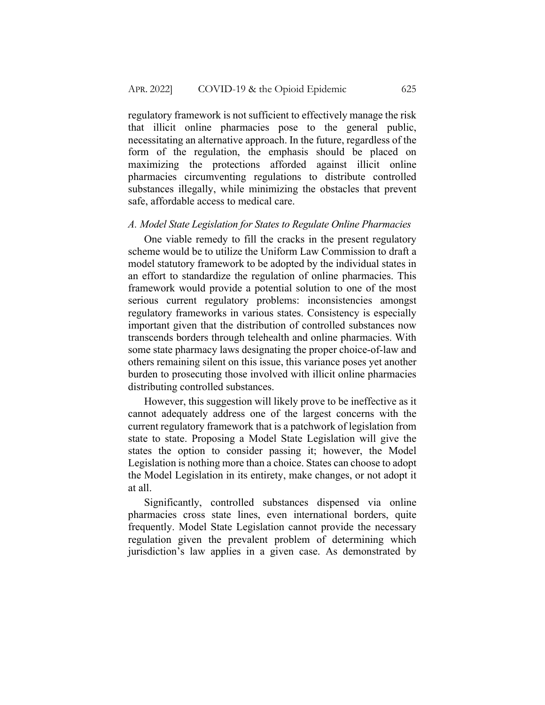regulatory framework is not sufficient to effectively manage the risk that illicit online pharmacies pose to the general public, necessitating an alternative approach. In the future, regardless of the form of the regulation, the emphasis should be placed on maximizing the protections afforded against illicit online pharmacies circumventing regulations to distribute controlled substances illegally, while minimizing the obstacles that prevent safe, affordable access to medical care.

### *A. Model State Legislation for States to Regulate Online Pharmacies*

One viable remedy to fill the cracks in the present regulatory scheme would be to utilize the Uniform Law Commission to draft a model statutory framework to be adopted by the individual states in an effort to standardize the regulation of online pharmacies. This framework would provide a potential solution to one of the most serious current regulatory problems: inconsistencies amongst regulatory frameworks in various states. Consistency is especially important given that the distribution of controlled substances now transcends borders through telehealth and online pharmacies. With some state pharmacy laws designating the proper choice-of-law and others remaining silent on this issue, this variance poses yet another burden to prosecuting those involved with illicit online pharmacies distributing controlled substances.

However, this suggestion will likely prove to be ineffective as it cannot adequately address one of the largest concerns with the current regulatory framework that is a patchwork of legislation from state to state. Proposing a Model State Legislation will give the states the option to consider passing it; however, the Model Legislation is nothing more than a choice. States can choose to adopt the Model Legislation in its entirety, make changes, or not adopt it at all.

Significantly, controlled substances dispensed via online pharmacies cross state lines, even international borders, quite frequently. Model State Legislation cannot provide the necessary regulation given the prevalent problem of determining which jurisdiction's law applies in a given case. As demonstrated by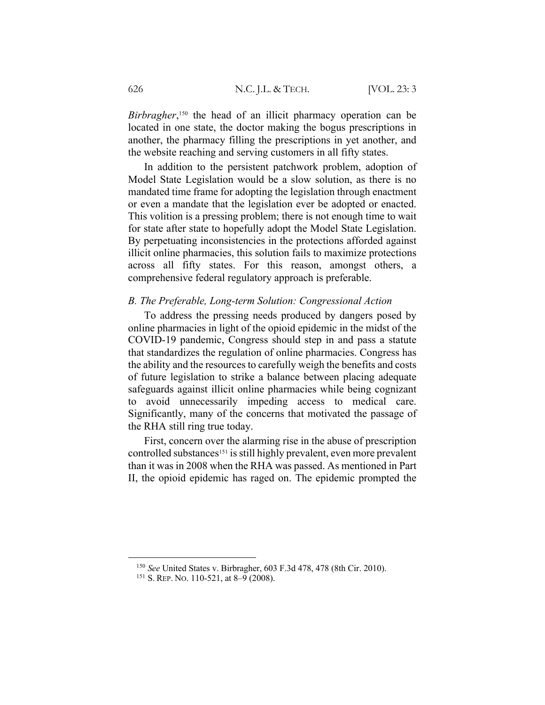*Birbragher*, <sup>150</sup> the head of an illicit pharmacy operation can be located in one state, the doctor making the bogus prescriptions in another, the pharmacy filling the prescriptions in yet another, and the website reaching and serving customers in all fifty states.

In addition to the persistent patchwork problem, adoption of Model State Legislation would be a slow solution, as there is no mandated time frame for adopting the legislation through enactment or even a mandate that the legislation ever be adopted or enacted. This volition is a pressing problem; there is not enough time to wait for state after state to hopefully adopt the Model State Legislation. By perpetuating inconsistencies in the protections afforded against illicit online pharmacies, this solution fails to maximize protections across all fifty states. For this reason, amongst others, a comprehensive federal regulatory approach is preferable.

#### *B. The Preferable, Long-term Solution: Congressional Action*

To address the pressing needs produced by dangers posed by online pharmacies in light of the opioid epidemic in the midst of the COVID-19 pandemic, Congress should step in and pass a statute that standardizes the regulation of online pharmacies. Congress has the ability and the resources to carefully weigh the benefits and costs of future legislation to strike a balance between placing adequate safeguards against illicit online pharmacies while being cognizant to avoid unnecessarily impeding access to medical care. Significantly, many of the concerns that motivated the passage of the RHA still ring true today.

First, concern over the alarming rise in the abuse of prescription controlled substances<sup>151</sup> is still highly prevalent, even more prevalent than it was in 2008 when the RHA was passed. As mentioned in Part II, the opioid epidemic has raged on. The epidemic prompted the

<sup>150</sup> *See* United States v. Birbragher, 603 F.3d 478, 478 (8th Cir. 2010).

<sup>151</sup> S. REP. NO. 110-521, at 8–9 (2008).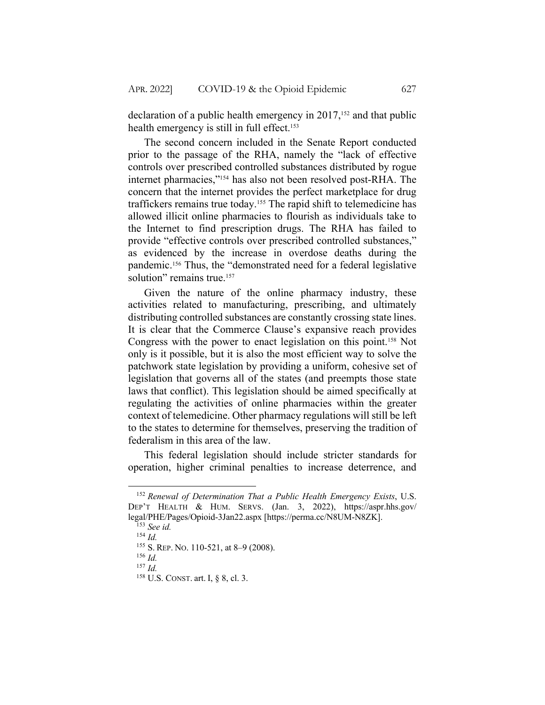declaration of a public health emergency in  $2017$ ,<sup>152</sup> and that public health emergency is still in full effect.<sup>153</sup>

The second concern included in the Senate Report conducted prior to the passage of the RHA, namely the "lack of effective controls over prescribed controlled substances distributed by rogue internet pharmacies,"154 has also not been resolved post-RHA. The concern that the internet provides the perfect marketplace for drug traffickers remains true today.155 The rapid shift to telemedicine has allowed illicit online pharmacies to flourish as individuals take to the Internet to find prescription drugs. The RHA has failed to provide "effective controls over prescribed controlled substances," as evidenced by the increase in overdose deaths during the pandemic.156 Thus, the "demonstrated need for a federal legislative solution" remains true.<sup>157</sup>

Given the nature of the online pharmacy industry, these activities related to manufacturing, prescribing, and ultimately distributing controlled substances are constantly crossing state lines. It is clear that the Commerce Clause's expansive reach provides Congress with the power to enact legislation on this point.158 Not only is it possible, but it is also the most efficient way to solve the patchwork state legislation by providing a uniform, cohesive set of legislation that governs all of the states (and preempts those state laws that conflict). This legislation should be aimed specifically at regulating the activities of online pharmacies within the greater context of telemedicine. Other pharmacy regulations will still be left to the states to determine for themselves, preserving the tradition of federalism in this area of the law.

This federal legislation should include stricter standards for operation, higher criminal penalties to increase deterrence, and

<sup>152</sup> *Renewal of Determination That a Public Health Emergency Exists*, U.S. DEP'T HEALTH & HUM. SERVS. (Jan. 3, 2022), https://aspr.hhs.gov/ legal/PHE/Pages/Opioid-3Jan22.aspx [https://perma.cc/N8UM-N8ZK].

<sup>153</sup> *See id.*

<sup>154</sup> *Id.*

<sup>155</sup> S. REP. NO. 110-521, at 8–9 (2008).

<sup>156</sup> *Id.*

<sup>157</sup> *Id.*

<sup>158</sup> U.S. CONST. art. I, § 8, cl. 3.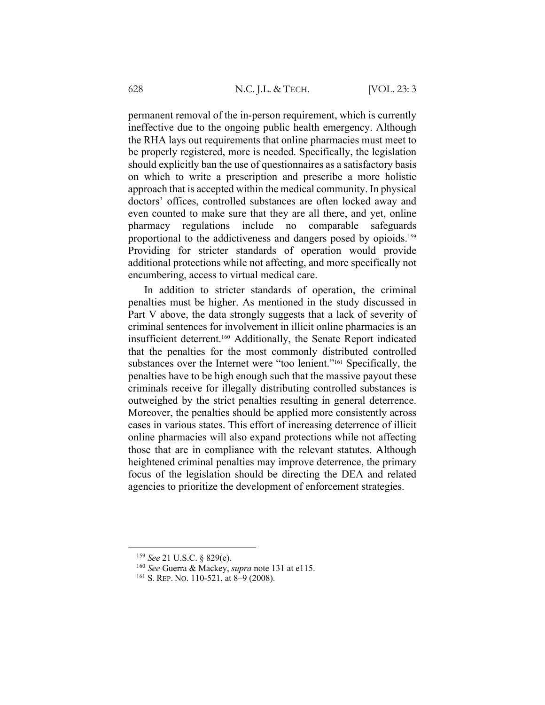permanent removal of the in-person requirement, which is currently ineffective due to the ongoing public health emergency. Although the RHA lays out requirements that online pharmacies must meet to be properly registered, more is needed. Specifically, the legislation should explicitly ban the use of questionnaires as a satisfactory basis on which to write a prescription and prescribe a more holistic approach that is accepted within the medical community. In physical doctors' offices, controlled substances are often locked away and even counted to make sure that they are all there, and yet, online pharmacy regulations include no comparable safeguards proportional to the addictiveness and dangers posed by opioids.159 Providing for stricter standards of operation would provide additional protections while not affecting, and more specifically not encumbering, access to virtual medical care.

In addition to stricter standards of operation, the criminal penalties must be higher. As mentioned in the study discussed in Part V above, the data strongly suggests that a lack of severity of criminal sentences for involvement in illicit online pharmacies is an insufficient deterrent.160 Additionally, the Senate Report indicated that the penalties for the most commonly distributed controlled substances over the Internet were "too lenient."<sup>161</sup> Specifically, the penalties have to be high enough such that the massive payout these criminals receive for illegally distributing controlled substances is outweighed by the strict penalties resulting in general deterrence. Moreover, the penalties should be applied more consistently across cases in various states. This effort of increasing deterrence of illicit online pharmacies will also expand protections while not affecting those that are in compliance with the relevant statutes. Although heightened criminal penalties may improve deterrence, the primary focus of the legislation should be directing the DEA and related agencies to prioritize the development of enforcement strategies.

<sup>159</sup> *See* 21 U.S.C. § 829(e).

<sup>160</sup> *See* Guerra & Mackey, *supra* note 131 at e115.

<sup>161</sup> S. REP. NO. 110-521, at 8–9 (2008).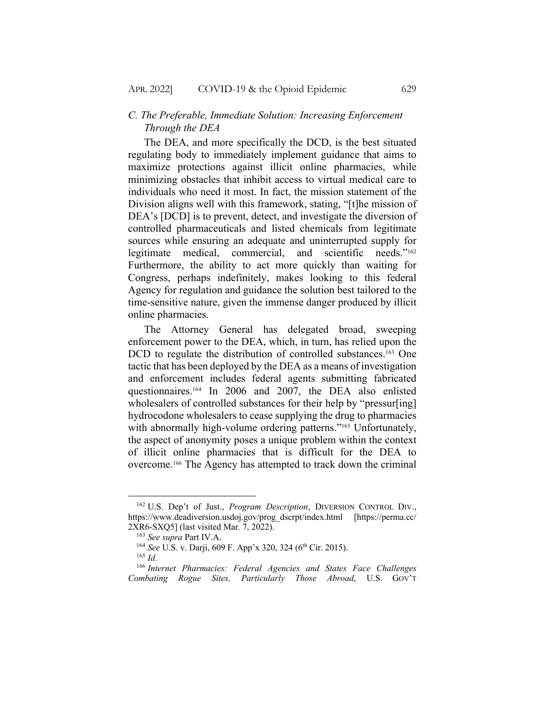# *C. The Preferable, Immediate Solution: Increasing Enforcement Through the DEA*

The DEA, and more specifically the DCD, is the best situated regulating body to immediately implement guidance that aims to maximize protections against illicit online pharmacies, while minimizing obstacles that inhibit access to virtual medical care to individuals who need it most. In fact, the mission statement of the Division aligns well with this framework, stating, "[t]he mission of DEA's [DCD] is to prevent, detect, and investigate the diversion of controlled pharmaceuticals and listed chemicals from legitimate sources while ensuring an adequate and uninterrupted supply for legitimate medical, commercial, and scientific needs."162 Furthermore, the ability to act more quickly than waiting for Congress, perhaps indefinitely, makes looking to this federal Agency for regulation and guidance the solution best tailored to the time-sensitive nature, given the immense danger produced by illicit online pharmacies.

The Attorney General has delegated broad, sweeping enforcement power to the DEA, which, in turn, has relied upon the DCD to regulate the distribution of controlled substances.<sup>163</sup> One tactic that has been deployed by the DEA as a means of investigation and enforcement includes federal agents submitting fabricated questionnaires.164 In 2006 and 2007, the DEA also enlisted wholesalers of controlled substances for their help by "pressur[ing] hydrocodone wholesalers to cease supplying the drug to pharmacies with abnormally high-volume ordering patterns."<sup>165</sup> Unfortunately, the aspect of anonymity poses a unique problem within the context of illicit online pharmacies that is difficult for the DEA to overcome.166 The Agency has attempted to track down the criminal

<sup>162</sup> U.S. Dep't of Just., *Program Description*, DIVERSION CONTROL DIV., https://www.deadiversion.usdoj.gov/prog\_dscrpt/index.html [https://perma.cc/ 2XR6-SXQ5] (last visited Mar. 7, 2022).

<sup>163</sup> *See supra* Part IV.A.

<sup>&</sup>lt;sup>164</sup> *See* U.S. v. Darji, 609 F. App'x 320, 324 (6<sup>th</sup> Cir. 2015).

<sup>165</sup> *Id.*

<sup>166</sup> *Internet Pharmacies: Federal Agencies and States Face Challenges Combating Rogue Sites, Particularly Those Abroad*, U.S. GOV'T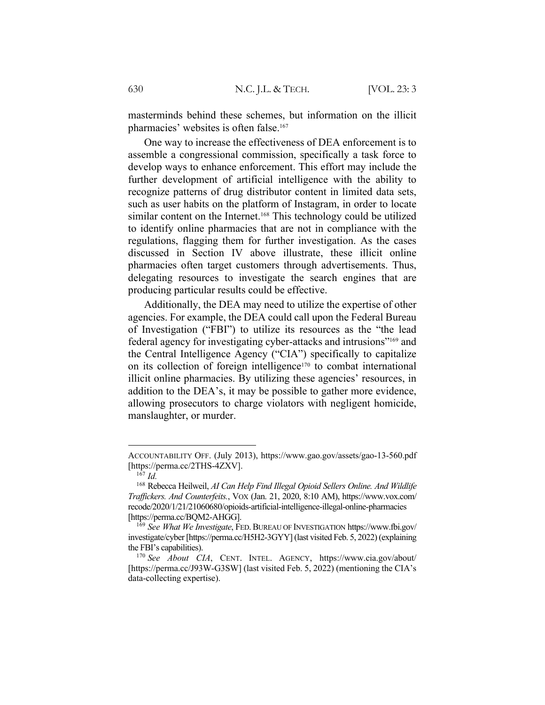masterminds behind these schemes, but information on the illicit pharmacies' websites is often false.<sup>167</sup>

One way to increase the effectiveness of DEA enforcement is to assemble a congressional commission, specifically a task force to develop ways to enhance enforcement. This effort may include the further development of artificial intelligence with the ability to recognize patterns of drug distributor content in limited data sets, such as user habits on the platform of Instagram, in order to locate similar content on the Internet.<sup>168</sup> This technology could be utilized to identify online pharmacies that are not in compliance with the regulations, flagging them for further investigation. As the cases discussed in Section IV above illustrate, these illicit online pharmacies often target customers through advertisements. Thus, delegating resources to investigate the search engines that are producing particular results could be effective.

Additionally, the DEA may need to utilize the expertise of other agencies. For example, the DEA could call upon the Federal Bureau of Investigation ("FBI") to utilize its resources as the "the lead federal agency for investigating cyber-attacks and intrusions"169 and the Central Intelligence Agency ("CIA") specifically to capitalize on its collection of foreign intelligence<sup>170</sup> to combat international illicit online pharmacies. By utilizing these agencies' resources, in addition to the DEA's, it may be possible to gather more evidence, allowing prosecutors to charge violators with negligent homicide, manslaughter, or murder.

ACCOUNTABILITY OFF. (July 2013), https://www.gao.gov/assets/gao-13-560.pdf [https://perma.cc/2THS-4ZXV].

 $^{167}$  *Id.* 

<sup>168</sup> Rebecca Heilweil, *AI Can Help Find Illegal Opioid Sellers Online. And Wildlife Traffickers. And Counterfeits.*, VOX (Jan. 21, 2020, 8:10 AM), https://www.vox.com/ recode/2020/1/21/21060680/opioids-artificial-intelligence-illegal-online-pharmacies [https://perma.cc/BQM2-AHGG].

<sup>&</sup>lt;sup>169</sup> See What We Investigate, FED. BUREAU OF INVESTIGATION https://www.fbi.gov/ investigate/cyber [https://perma.cc/H5H2-3GYY] (last visited Feb. 5, 2022)(explaining the FBI's capabilities).

<sup>170</sup> *See About CIA*, CENT. INTEL. AGENCY, https://www.cia.gov/about/ [https://perma.cc/J93W-G3SW] (last visited Feb. 5, 2022) (mentioning the CIA's data-collecting expertise).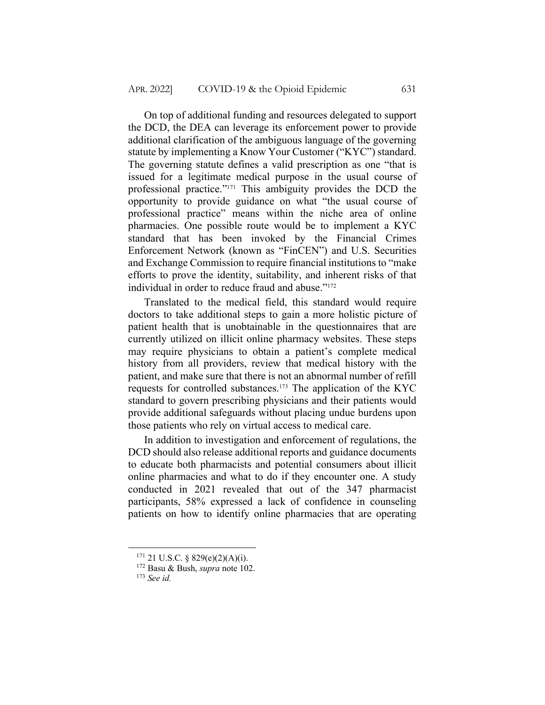On top of additional funding and resources delegated to support the DCD, the DEA can leverage its enforcement power to provide additional clarification of the ambiguous language of the governing statute by implementing a Know Your Customer ("KYC") standard. The governing statute defines a valid prescription as one "that is issued for a legitimate medical purpose in the usual course of professional practice."171 This ambiguity provides the DCD the opportunity to provide guidance on what "the usual course of professional practice" means within the niche area of online pharmacies. One possible route would be to implement a KYC standard that has been invoked by the Financial Crimes Enforcement Network (known as "FinCEN") and U.S. Securities and Exchange Commission to require financial institutions to "make efforts to prove the identity, suitability, and inherent risks of that individual in order to reduce fraud and abuse."172

Translated to the medical field, this standard would require doctors to take additional steps to gain a more holistic picture of patient health that is unobtainable in the questionnaires that are currently utilized on illicit online pharmacy websites. These steps may require physicians to obtain a patient's complete medical history from all providers, review that medical history with the patient, and make sure that there is not an abnormal number of refill requests for controlled substances.173 The application of the KYC standard to govern prescribing physicians and their patients would provide additional safeguards without placing undue burdens upon those patients who rely on virtual access to medical care.

In addition to investigation and enforcement of regulations, the DCD should also release additional reports and guidance documents to educate both pharmacists and potential consumers about illicit online pharmacies and what to do if they encounter one. A study conducted in 2021 revealed that out of the 347 pharmacist participants, 58% expressed a lack of confidence in counseling patients on how to identify online pharmacies that are operating

 $171$  21 U.S.C. § 829(e)(2)(A)(i).

<sup>172</sup> Basu & Bush, *supra* note 102.

<sup>173</sup> *See id.*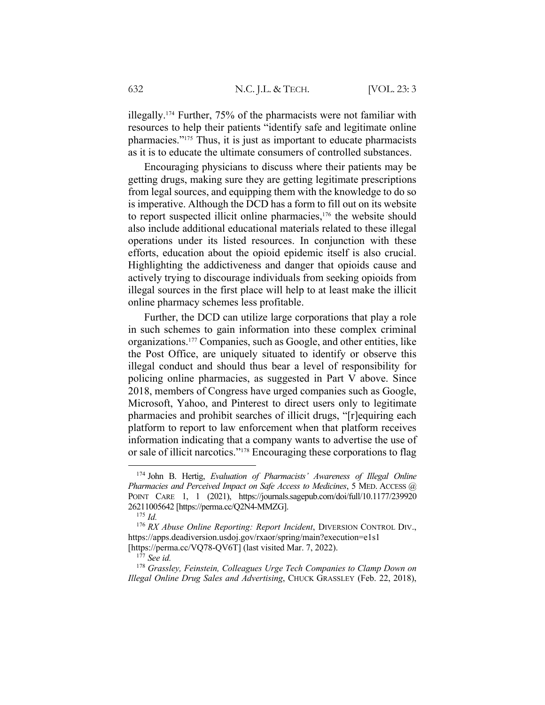illegally.174 Further, 75% of the pharmacists were not familiar with resources to help their patients "identify safe and legitimate online pharmacies."175 Thus, it is just as important to educate pharmacists as it is to educate the ultimate consumers of controlled substances.

Encouraging physicians to discuss where their patients may be getting drugs, making sure they are getting legitimate prescriptions from legal sources, and equipping them with the knowledge to do so is imperative. Although the DCD has a form to fill out on its website to report suspected illicit online pharmacies,<sup>176</sup> the website should also include additional educational materials related to these illegal operations under its listed resources. In conjunction with these efforts, education about the opioid epidemic itself is also crucial. Highlighting the addictiveness and danger that opioids cause and actively trying to discourage individuals from seeking opioids from illegal sources in the first place will help to at least make the illicit online pharmacy schemes less profitable.

Further, the DCD can utilize large corporations that play a role in such schemes to gain information into these complex criminal organizations.177 Companies, such as Google, and other entities, like the Post Office, are uniquely situated to identify or observe this illegal conduct and should thus bear a level of responsibility for policing online pharmacies, as suggested in Part V above. Since 2018, members of Congress have urged companies such as Google, Microsoft, Yahoo, and Pinterest to direct users only to legitimate pharmacies and prohibit searches of illicit drugs, "[r]equiring each platform to report to law enforcement when that platform receives information indicating that a company wants to advertise the use of or sale of illicit narcotics."178 Encouraging these corporations to flag

<sup>174</sup> John B. Hertig, *Evaluation of Pharmacists' Awareness of Illegal Online Pharmacies and Perceived Impact on Safe Access to Medicines*, 5 MED. ACCESS @ POINT CARE 1, 1 (2021), https://journals.sagepub.com/doi/full/10.1177/239920 26211005642 [https://perma.cc/Q2N4-MMZG].

<sup>175</sup> *Id.*

<sup>176</sup> *RX Abuse Online Reporting: Report Incident*, DIVERSION CONTROL DIV., https://apps.deadiversion.usdoj.gov/rxaor/spring/main?execution=e1s1 [https://perma.cc/VQ78-QV6T] (last visited Mar. 7, 2022).

<sup>177</sup> *See id.*

<sup>178</sup> *Grassley, Feinstein, Colleagues Urge Tech Companies to Clamp Down on Illegal Online Drug Sales and Advertising*, CHUCK GRASSLEY (Feb. 22, 2018),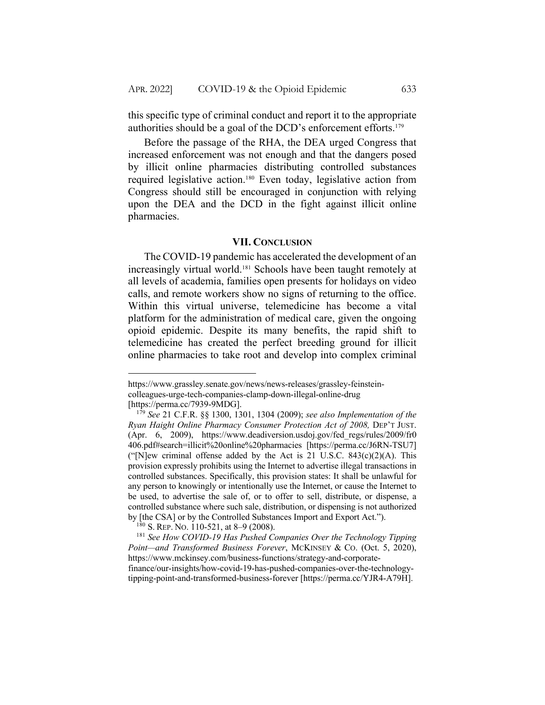this specific type of criminal conduct and report it to the appropriate authorities should be a goal of the DCD's enforcement efforts. 179

Before the passage of the RHA, the DEA urged Congress that increased enforcement was not enough and that the dangers posed by illicit online pharmacies distributing controlled substances required legislative action.180 Even today, legislative action from Congress should still be encouraged in conjunction with relying upon the DEA and the DCD in the fight against illicit online pharmacies.

#### **VII. CONCLUSION**

The COVID-19 pandemic has accelerated the development of an increasingly virtual world.181 Schools have been taught remotely at all levels of academia, families open presents for holidays on video calls, and remote workers show no signs of returning to the office. Within this virtual universe, telemedicine has become a vital platform for the administration of medical care, given the ongoing opioid epidemic. Despite its many benefits, the rapid shift to telemedicine has created the perfect breeding ground for illicit online pharmacies to take root and develop into complex criminal

https://www.grassley.senate.gov/news/news-releases/grassley-feinsteincolleagues-urge-tech-companies-clamp-down-illegal-online-drug [https://perma.cc/7939-9MDG].

<sup>179</sup> *See* 21 C.F.R. §§ 1300, 1301, 1304 (2009); *see also Implementation of the*  Ryan Haight Online Pharmacy Consumer Protection Act of 2008, DEP'T JUST. (Apr. 6, 2009), https://www.deadiversion.usdoj.gov/fed\_regs/rules/2009/fr0 406.pdf#search=illicit%20online%20pharmacies [https://perma.cc/J6RN-TSU7] ("[N]ew criminal offense added by the Act is 21 U.S.C.  $843(c)(2)(A)$ . This provision expressly prohibits using the Internet to advertise illegal transactions in controlled substances. Specifically, this provision states: It shall be unlawful for any person to knowingly or intentionally use the Internet, or cause the Internet to be used, to advertise the sale of, or to offer to sell, distribute, or dispense, a controlled substance where such sale, distribution, or dispensing is not authorized by [the CSA] or by the Controlled Substances Import and Export Act.").

<sup>180</sup> S. REP. NO. 110-521, at 8–9 (2008).

<sup>181</sup> *See How COVID-19 Has Pushed Companies Over the Technology Tipping Point—and Transformed Business Forever*, MCKINSEY & CO. (Oct. 5, 2020), https://www.mckinsey.com/business-functions/strategy-and-corporatefinance/our-insights/how-covid-19-has-pushed-companies-over-the-technologytipping-point-and-transformed-business-forever [https://perma.cc/YJR4-A79H].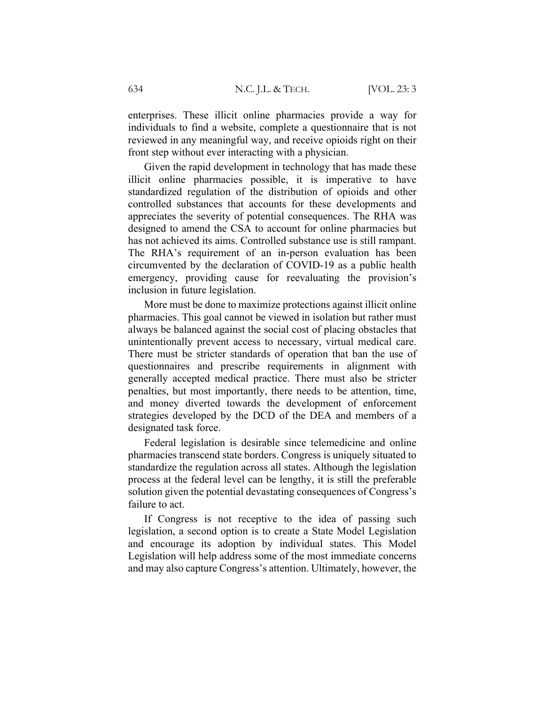enterprises. These illicit online pharmacies provide a way for individuals to find a website, complete a questionnaire that is not reviewed in any meaningful way, and receive opioids right on their front step without ever interacting with a physician.

Given the rapid development in technology that has made these illicit online pharmacies possible, it is imperative to have standardized regulation of the distribution of opioids and other controlled substances that accounts for these developments and appreciates the severity of potential consequences. The RHA was designed to amend the CSA to account for online pharmacies but has not achieved its aims. Controlled substance use is still rampant. The RHA's requirement of an in-person evaluation has been circumvented by the declaration of COVID-19 as a public health emergency, providing cause for reevaluating the provision's inclusion in future legislation.

More must be done to maximize protections against illicit online pharmacies. This goal cannot be viewed in isolation but rather must always be balanced against the social cost of placing obstacles that unintentionally prevent access to necessary, virtual medical care. There must be stricter standards of operation that ban the use of questionnaires and prescribe requirements in alignment with generally accepted medical practice. There must also be stricter penalties, but most importantly, there needs to be attention, time, and money diverted towards the development of enforcement strategies developed by the DCD of the DEA and members of a designated task force.

Federal legislation is desirable since telemedicine and online pharmacies transcend state borders. Congress is uniquely situated to standardize the regulation across all states. Although the legislation process at the federal level can be lengthy, it is still the preferable solution given the potential devastating consequences of Congress's failure to act.

If Congress is not receptive to the idea of passing such legislation, a second option is to create a State Model Legislation and encourage its adoption by individual states. This Model Legislation will help address some of the most immediate concerns and may also capture Congress's attention. Ultimately, however, the